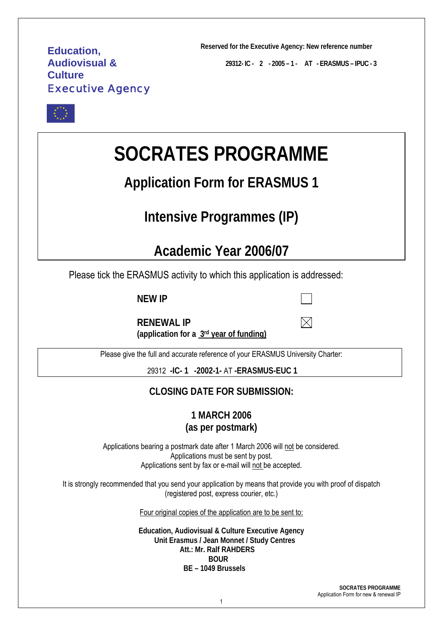# **Education, Audiovisual & Culture**  Executive Agency

**Reserved for the Executive Agency: New reference number** 

**29312- IC - 2 - 2005 – 1 - AT - ERASMUS – IPUC - 3** 

M



# **SOCRATES PROGRAMME**

# **Application Form for ERASMUS 1**

# **Intensive Programmes (IP)**

# **Academic Year 2006/07**

Please tick the ERASMUS activity to which this application is addressed:

**NEW IP**

**RENEWAL IP (application for a 3rd year of funding)**

Please give the full and accurate reference of your ERASMUS University Charter:

29312 **-IC- 1 -2002-1-** AT **-ERASMUS-EUC 1**

# **CLOSING DATE FOR SUBMISSION:**

**1 MARCH 2006 (as per postmark)** 

Applications bearing a postmark date after 1 March 2006 will not be considered. Applications must be sent by post. Applications sent by fax or e-mail will not be accepted.

It is strongly recommended that you send your application by means that provide you with proof of dispatch (registered post, express courier, etc.)

Four original copies of the application are to be sent to:

**Education, Audiovisual & Culture Executive Agency Unit Erasmus / Jean Monnet / Study Centres Att.: Mr. Ralf RAHDERS BOUR BE – 1049 Brussels** 

> **SOCRATES PROGRAMME**  Application Form for new & renewal IP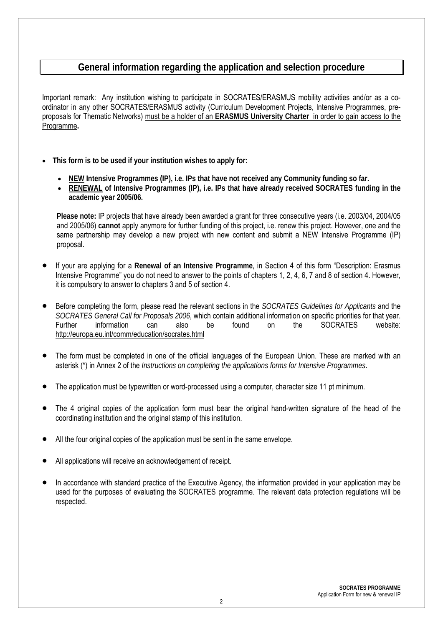# **General information regarding the application and selection procedure**

Important remark: Any institution wishing to participate in SOCRATES/ERASMUS mobility activities and/or as a coordinator in any other SOCRATES/ERASMUS activity (Curriculum Development Projects, Intensive Programmes, preproposals for Thematic Networks) must be a holder of an **ERASMUS University Charter** in order to gain access to the Programme**.** 

- **This form is to be used if your institution wishes to apply for:**
	- **NEW Intensive Programmes (IP), i.e. IPs that have not received any Community funding so far.**
	- **RENEWAL of Intensive Programmes (IP), i.e. IPs that have already received SOCRATES funding in the academic year 2005/06.**

**Please note:** IP projects that have already been awarded a grant for three consecutive years (i.e. 2003/04, 2004/05 and 2005/06) **cannot** apply anymore for further funding of this project, i.e. renew this project. However, one and the same partnership may develop a new project with new content and submit a NEW Intensive Programme (IP) proposal.

- If your are applying for a **Renewal of an Intensive Programme**, in Section 4 of this form "Description: Erasmus Intensive Programme" you do not need to answer to the points of chapters 1, 2, 4, 6, 7 and 8 of section 4. However, it is compulsory to answer to chapters 3 and 5 of section 4.
- Before completing the form, please read the relevant sections in the *SOCRATES Guidelines for Applicants* and the *SOCRATES General Call for Proposals 2006*, which contain additional information on specific priorities for that year. Further information can also be found on the SOCRATES website: http://europa.eu.int/comm/education/socrates.html
- The form must be completed in one of the official languages of the European Union. These are marked with an asterisk (\*) in Annex 2 of the *Instructions on completing the applications forms for Intensive Programmes*.
- The application must be typewritten or word-processed using a computer, character size 11 pt minimum.
- The 4 original copies of the application form must bear the original hand-written signature of the head of the coordinating institution and the original stamp of this institution.
- All the four original copies of the application must be sent in the same envelope.
- All applications will receive an acknowledgement of receipt.
- In accordance with standard practice of the Executive Agency, the information provided in your application may be used for the purposes of evaluating the SOCRATES programme. The relevant data protection regulations will be respected.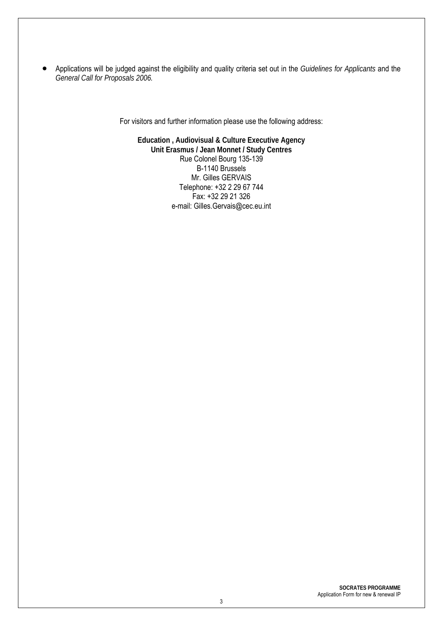• Applications will be judged against the eligibility and quality criteria set out in the *Guidelines for Applicants* and the *General Call for Proposals 2006.* 

For visitors and further information please use the following address:

**Education , Audiovisual & Culture Executive Agency Unit Erasmus / Jean Monnet / Study Centres**  Rue Colonel Bourg 135-139 B-1140 Brussels Mr. Gilles GERVAIS Telephone: +32 2 29 67 744 Fax: +32 29 21 326 e-mail: Gilles.Gervais@cec.eu.int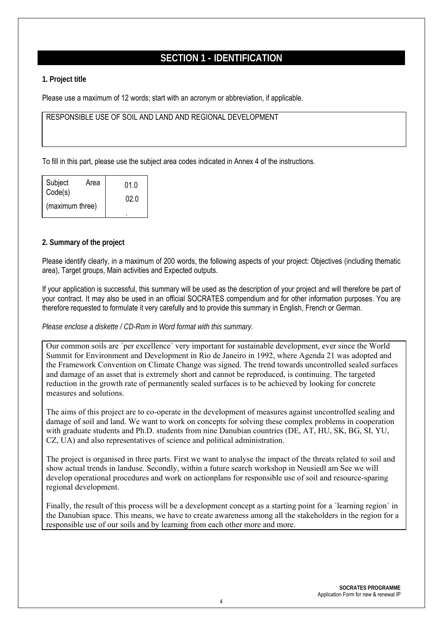# **SECTION 1 - IDENTIFICATION**

#### **1. Project title**

Please use a maximum of 12 words; start with an acronym or abbreviation, if applicable.

#### RESPONSIBLE USE OF SOIL AND LAND AND REGIONAL DEVELOPMENT

To fill in this part, please use the subject area codes indicated in Annex 4 of the instructions.

| Subject                    | Area | 01.0 |
|----------------------------|------|------|
| Code(s)<br>(maximum three) |      | 02 O |
|                            |      |      |

#### **2. Summary of the project**

Please identify clearly, in a maximum of 200 words, the following aspects of your project: Objectives (including thematic area), Target groups, Main activities and Expected outputs.

If your application is successful, this summary will be used as the description of your project and will therefore be part of your contract. It may also be used in an official SOCRATES compendium and for other information purposes. You are therefore requested to formulate it very carefully and to provide this summary in English, French or German.

#### *Please enclose a diskette / CD-Rom in Word format with this summary.*

Our common soils are ´per excellence´ very important for sustainable development, ever since the World Summit for Environment and Development in Rio de Janeiro in 1992, where Agenda 21 was adopted and the Framework Convention on Climate Change was signed. The trend towards uncontrolled sealed surfaces and damage of an asset that is extremely short and cannot be reproduced, is continuing. The targeted reduction in the growth rate of permanently sealed surfaces is to be achieved by looking for concrete measures and solutions.

The aims of this project are to co-operate in the development of measures against uncontrolled sealing and damage of soil and land. We want to work on concepts for solving these complex problems in cooperation with graduate students and Ph.D. students from nine Danubian countries (DE, AT, HU, SK, BG, SI, YU, CZ, UA) and also representatives of science and political administration.

The project is organised in three parts. First we want to analyse the impact of the threats related to soil and show actual trends in landuse. Secondly, within a future search workshop in Neusiedl am See we will develop operational procedures and work on actionplans for responsible use of soil and resource-sparing regional development.

Finally, the result of this process will be a development concept as a starting point for a ´learning region´ in the Danubian space. This means, we have to create awareness among all the stakeholders in the region for a responsible use of our soils and by learning from each other more and more.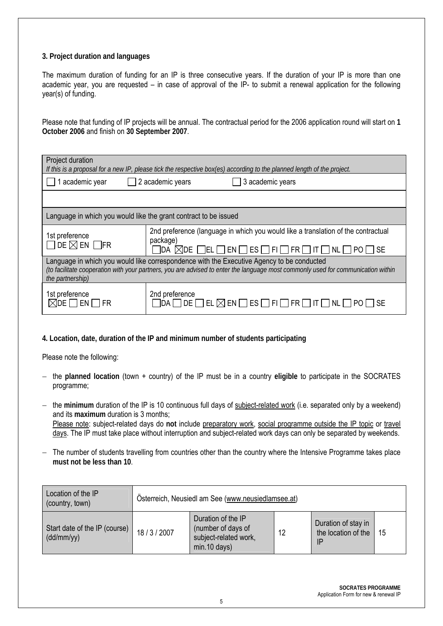#### **3. Project duration and languages**

The maximum duration of funding for an IP is three consecutive years. If the duration of your IP is more than one academic year, you are requested – in case of approval of the IP- to submit a renewal application for the following year(s) of funding.

Please note that funding of IP projects will be annual. The contractual period for the 2006 application round will start on **1 October 2006** and finish on **30 September 2007**.

| Project duration<br>If this is a proposal for a new IP, please tick the respective box(es) according to the planned length of the project.                                                                                                        |                                                                                                                                                                                                                                  |  |  |  |
|---------------------------------------------------------------------------------------------------------------------------------------------------------------------------------------------------------------------------------------------------|----------------------------------------------------------------------------------------------------------------------------------------------------------------------------------------------------------------------------------|--|--|--|
| academic year                                                                                                                                                                                                                                     | 2 academic years<br>3 academic years                                                                                                                                                                                             |  |  |  |
|                                                                                                                                                                                                                                                   |                                                                                                                                                                                                                                  |  |  |  |
| Language in which you would like the grant contract to be issued                                                                                                                                                                                  |                                                                                                                                                                                                                                  |  |  |  |
| 1st preference<br>$\Box$ de $\boxtimes$ en $\Box$ fr                                                                                                                                                                                              | 2nd preference (language in which you would like a translation of the contractual<br>package)<br>$\Box$ da $\boxtimes$ de $\Box$ el $\Box$ en $\Box$ es $\Box$ fi $\Box$ fr $\Box$<br>$\Box$ it $\Box$ nl $\Box$<br>$PO \cap SE$ |  |  |  |
| Language in which you would like correspondence with the Executive Agency to be conducted<br>(to facilitate cooperation with your partners, you are advised to enter the language most commonly used for communication within<br>the partnership) |                                                                                                                                                                                                                                  |  |  |  |
| 1st preference<br>MDE.                                                                                                                                                                                                                            | 2nd preference<br>DE<br> ES <br>- FII<br> FR <br>NL.<br>EL<br>$\boxtimes$ en i                                                                                                                                                   |  |  |  |

#### **4. Location, date, duration of the IP and minimum number of students participating**

Please note the following:

- − the **planned location** (town + country) of the IP must be in a country **eligible** to participate in the SOCRATES programme;
- − the **minimum** duration of the IP is 10 continuous full days of subject-related work (i.e. separated only by a weekend) and its **maximum** duration is 3 months; Please note: subject-related days do **not** include preparatory work, social programme outside the IP topic or travel days. The IP must take place without interruption and subject-related work days can only be separated by weekends.
- − The number of students travelling from countries other than the country where the Intensive Programme takes place **must not be less than 10**.

| Location of the IP<br>(country, town)       | Osterreich, Neusiedl am See (www.neusiedlamsee.at) |                                                                                     |    |                                                  |    |
|---------------------------------------------|----------------------------------------------------|-------------------------------------------------------------------------------------|----|--------------------------------------------------|----|
| Start date of the IP (course)<br>(dd/mm/yy) | 18/3/2007                                          | Duration of the IP<br>(number of days of<br>subject-related work,<br>$min.10$ days) | 12 | Duration of stay in<br>the location of the<br>IP | 15 |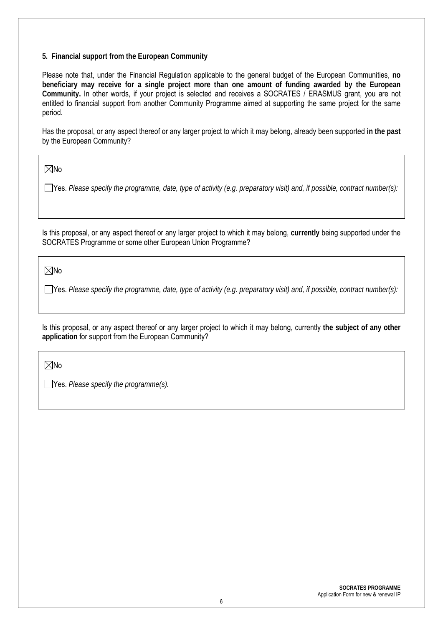#### **5. Financial support from the European Community**

Please note that, under the Financial Regulation applicable to the general budget of the European Communities, **no beneficiary may receive for a single project more than one amount of funding awarded by the European Community.** In other words, if your project is selected and receives a SOCRATES / ERASMUS grant, you are not entitled to financial support from another Community Programme aimed at supporting the same project for the same period.

Has the proposal, or any aspect thereof or any larger project to which it may belong, already been supported **in the past**  by the European Community?

 $\nabla$ No

Yes. *Please specify the programme, date, type of activity (e.g. preparatory visit) and, if possible, contract number(s):*

Is this proposal, or any aspect thereof or any larger project to which it may belong, **currently** being supported under the SOCRATES Programme or some other European Union Programme?

 $\nabla$ No

Yes. *Please specify the programme, date, type of activity (e.g. preparatory visit) and, if possible, contract number(s):*

Is this proposal, or any aspect thereof or any larger project to which it may belong, currently **the subject of any other application** for support from the European Community?

 $\nabla$ No

Yes. *Please specify the programme(s).*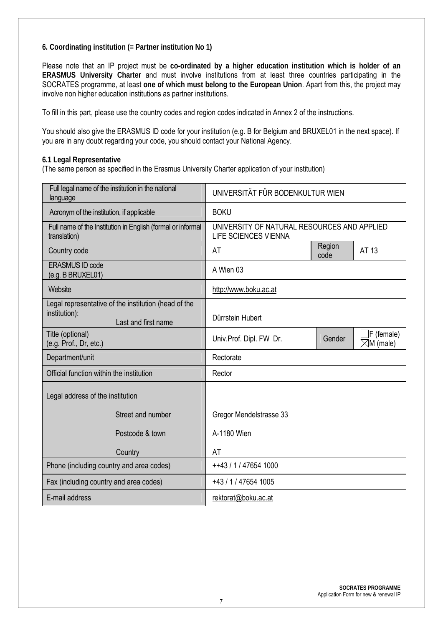#### **6. Coordinating institution (= Partner institution No 1)**

Please note that an IP project must be **co-ordinated by a higher education institution which is holder of an ERASMUS University Charter** and must involve institutions from at least three countries participating in the SOCRATES programme, at least **one of which must belong to the European Union**. Apart from this, the project may involve non higher education institutions as partner institutions.

To fill in this part, please use the country codes and region codes indicated in Annex 2 of the instructions.

You should also give the ERASMUS ID code for your institution (e.g. B for Belgium and BRUXEL01 in the next space). If you are in any doubt regarding your code, you should contact your National Agency.

**6.1 Legal Representative** 

(The same person as specified in the Erasmus University Charter application of your institution)

| Full legal name of the institution in the national<br>language                               | UNIVERSITÄT FÜR BODENKULTUR WIEN                                    |                |                                    |
|----------------------------------------------------------------------------------------------|---------------------------------------------------------------------|----------------|------------------------------------|
| Acronym of the institution, if applicable                                                    | <b>BOKU</b>                                                         |                |                                    |
| Full name of the Institution in English (formal or informal<br>translation)                  | UNIVERSITY OF NATURAL RESOURCES AND APPLIED<br>LIFE SCIENCES VIENNA |                |                                    |
| Country code                                                                                 | AT                                                                  | Region<br>code | AT 13                              |
| <b>ERASMUS ID code</b><br>(e.g. B BRUXEL01)                                                  | A Wien 03                                                           |                |                                    |
| Website                                                                                      | http://www.boku.ac.at                                               |                |                                    |
| Legal representative of the institution (head of the<br>institution):<br>Last and first name | Dürrstein Hubert                                                    |                |                                    |
| Title (optional)<br>(e.g. Prof., Dr, etc.)                                                   | Univ.Prof. Dipl. FW Dr.                                             | Gender         | F (female)<br>$\boxtimes$ M (male) |
| Department/unit                                                                              | Rectorate                                                           |                |                                    |
| Official function within the institution                                                     | Rector                                                              |                |                                    |
| Legal address of the institution                                                             |                                                                     |                |                                    |
| Street and number                                                                            | Gregor Mendelstrasse 33                                             |                |                                    |
| Postcode & town                                                                              | A-1180 Wien                                                         |                |                                    |
| Country                                                                                      | AT                                                                  |                |                                    |
| Phone (including country and area codes)                                                     | ++43 / 1 / 47654 1000                                               |                |                                    |
| Fax (including country and area codes)                                                       | +43 / 1 / 47654 1005                                                |                |                                    |
| E-mail address                                                                               | rektorat@boku.ac.at                                                 |                |                                    |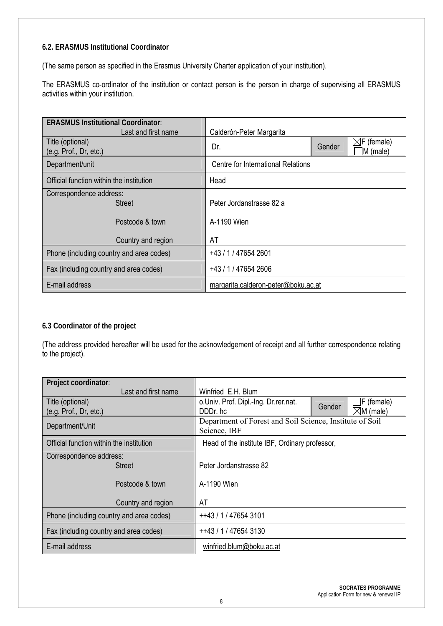#### **6.2. ERASMUS Institutional Coordinator**

(The same person as specified in the Erasmus University Charter application of your institution).

The ERASMUS co-ordinator of the institution or contact person is the person in charge of supervising all ERASMUS activities within your institution.

| <b>ERASMUS Institutional Coordinator:</b>  |                                     |        |                                    |  |
|--------------------------------------------|-------------------------------------|--------|------------------------------------|--|
| Last and first name                        | Calderón-Peter Margarita            |        |                                    |  |
| Title (optional)<br>(e.g. Prof., Dr, etc.) | Dr.                                 | Gender | $\boxtimes$ F (female)<br>M (male) |  |
| Department/unit                            | Centre for International Relations  |        |                                    |  |
| Official function within the institution   | Head                                |        |                                    |  |
| Correspondence address:<br><b>Street</b>   | Peter Jordanstrasse 82 a            |        |                                    |  |
| Postcode & town                            | A-1190 Wien                         |        |                                    |  |
| Country and region                         | AT                                  |        |                                    |  |
| Phone (including country and area codes)   | +43 / 1 / 47654 2601                |        |                                    |  |
| Fax (including country and area codes)     | +43 / 1 / 47654 2606                |        |                                    |  |
| E-mail address                             | margarita.calderon-peter@boku.ac.at |        |                                    |  |

#### **6.3 Coordinator of the project**

(The address provided hereafter will be used for the acknowledgement of receipt and all further correspondence relating to the project).

| Project coordinator:                     |                                                                          |                      |  |
|------------------------------------------|--------------------------------------------------------------------------|----------------------|--|
| Last and first name                      | Winfried E.H. Blum                                                       |                      |  |
| Title (optional)                         | o.Univ. Prof. Dipl.-Ing. Dr.rer.nat.                                     | F (female)<br>Gender |  |
| (e.g. Prof., Dr, etc.)                   | DDDr. hc                                                                 | $\boxtimes$ M (male) |  |
| Department/Unit                          | Department of Forest and Soil Science, Institute of Soil<br>Science, IBF |                      |  |
| Official function within the institution | Head of the institute IBF, Ordinary professor,                           |                      |  |
| Correspondence address:                  |                                                                          |                      |  |
| <b>Street</b>                            | Peter Jordanstrasse 82                                                   |                      |  |
| Postcode & town                          | A-1190 Wien                                                              |                      |  |
| Country and region                       | AT                                                                       |                      |  |
| Phone (including country and area codes) | ++43 / 1 / 47654 3101                                                    |                      |  |
| Fax (including country and area codes)   | ++43 / 1 / 47654 3130                                                    |                      |  |
| E-mail address                           | winfried.blum@boku.ac.at                                                 |                      |  |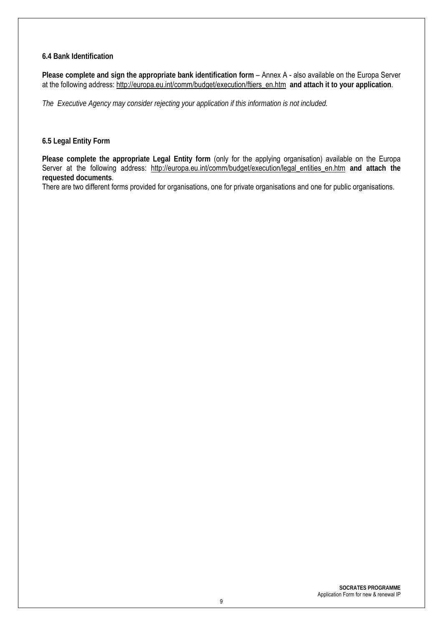#### **6.4 Bank Identification**

**Please complete and sign the appropriate bank identification form** – Annex A - also available on the Europa Server at the following address: http://europa.eu.int/comm/budget/execution/ftiers\_en.htm **and attach it to your application**.

*The Executive Agency may consider rejecting your application if this information is not included.*

#### **6.5 Legal Entity Form**

**Please complete the appropriate Legal Entity form** (only for the applying organisation) available on the Europa Server at the following address: http://europa.eu.int/comm/budget/execution/legal\_entities\_en.htm **and attach the requested documents**.

There are two different forms provided for organisations, one for private organisations and one for public organisations.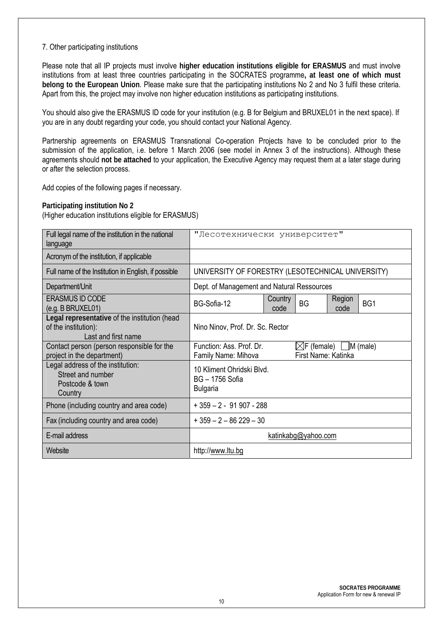#### 7. Other participating institutions

Please note that all IP projects must involve **higher education institutions eligible for ERASMUS** and must involve institutions from at least three countries participating in the SOCRATES programme**, at least one of which must belong to the European Union**. Please make sure that the participating institutions No 2 and No 3 fulfil these criteria. Apart from this, the project may involve non higher education institutions as participating institutions.

You should also give the ERASMUS ID code for your institution (e.g. B for Belgium and BRUXEL01 in the next space). If you are in any doubt regarding your code, you should contact your National Agency.

Partnership agreements on ERASMUS Transnational Co-operation Projects have to be concluded prior to the submission of the application, i.e. before 1 March 2006 (see model in Annex 3 of the instructions). Although these agreements should **not be attached** to your application, the Executive Agency may request them at a later stage during or after the selection process.

Add copies of the following pages if necessary.

#### **Participating institution No 2**

| Full legal name of the institution in the national<br>language                               | "Лесотехнически университет"                                         |                 |                                                        |                |     |
|----------------------------------------------------------------------------------------------|----------------------------------------------------------------------|-----------------|--------------------------------------------------------|----------------|-----|
| Acronym of the institution, if applicable                                                    |                                                                      |                 |                                                        |                |     |
| Full name of the Institution in English, if possible                                         | UNIVERSITY OF FORESTRY (LESOTECHNICAL UNIVERSITY)                    |                 |                                                        |                |     |
| Department/Unit                                                                              | Dept. of Management and Natural Ressources                           |                 |                                                        |                |     |
| <b>ERASMUS ID CODE</b><br>(e.g. B BRUXEL01)                                                  | BG-Sofia-12                                                          | Country<br>code | <b>BG</b>                                              | Region<br>code | BG1 |
| Legal representative of the institution (head<br>of the institution):<br>Last and first name | Nino Ninov, Prof. Dr. Sc. Rector                                     |                 |                                                        |                |     |
| Contact person (person responsible for the<br>project in the department)                     | Function: Ass. Prof. Dr.<br>Family Name: Mihova                      |                 | $\boxtimes$ F (female) M (male)<br>First Name: Katinka |                |     |
| Legal address of the institution:<br>Street and number<br>Postcode & town<br>Country         | 10 Kliment Ohridski Blvd.<br><b>BG-1756 Sofia</b><br><b>Bulgaria</b> |                 |                                                        |                |     |
| Phone (including country and area code)                                                      | $+359 - 2 - 91907 - 288$                                             |                 |                                                        |                |     |
| Fax (including country and area code)                                                        | $+359 - 2 - 86229 - 30$                                              |                 |                                                        |                |     |
| E-mail address                                                                               | katinkabg@yahoo.com                                                  |                 |                                                        |                |     |
| Website                                                                                      | http://www.ltu.bg                                                    |                 |                                                        |                |     |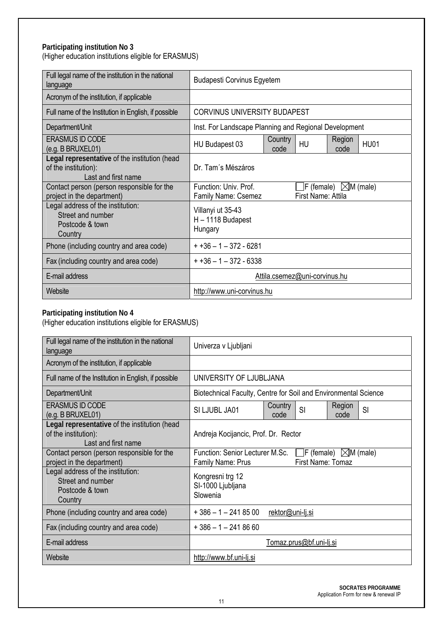#### **Participating institution No 3** (Higher education institutions eligible for ERASMUS)

| Full legal name of the institution in the national<br>language                               | <b>Budapesti Corvinus Egyetem</b>                     |                 |                    |                                                  |             |
|----------------------------------------------------------------------------------------------|-------------------------------------------------------|-----------------|--------------------|--------------------------------------------------|-------------|
| Acronym of the institution, if applicable                                                    |                                                       |                 |                    |                                                  |             |
| Full name of the Institution in English, if possible                                         | <b>CORVINUS UNIVERSITY BUDAPEST</b>                   |                 |                    |                                                  |             |
| Department/Unit                                                                              | Inst. For Landscape Planning and Regional Development |                 |                    |                                                  |             |
| <b>ERASMUS ID CODE</b><br>(e.g. B BRUXEL01)                                                  | HU Budapest 03                                        | Country<br>code | <b>HU</b>          | Region<br>code                                   | <b>HU01</b> |
| Legal representative of the institution (head<br>of the institution):<br>Last and first name | Dr. Tam's Mészáros                                    |                 |                    |                                                  |             |
| Contact person (person responsible for the<br>project in the department)                     | Function: Univ. Prof.<br>Family Name: Csemez          |                 | First Name: Attila | $\mathsf{F}$ (female) $\mathbb{\times}$ M (male) |             |
| Legal address of the institution:<br>Street and number<br>Postcode & town<br>Country         | Villanyi ut 35-43<br>H - 1118 Budapest<br>Hungary     |                 |                    |                                                  |             |
| Phone (including country and area code)                                                      | $+136 - 1 - 372 - 6281$                               |                 |                    |                                                  |             |
| Fax (including country and area code)                                                        | $+136 - 1 - 372 - 6338$                               |                 |                    |                                                  |             |
| E-mail address                                                                               | Attila.csemez@uni-corvinus.hu                         |                 |                    |                                                  |             |
| Website                                                                                      | http://www.uni-corvinus.hu                            |                 |                    |                                                  |             |

#### **Participating institution No 4**

| Full legal name of the institution in the national<br>language                               | Univerza v Ljubljani                                                                                                   |  |  |
|----------------------------------------------------------------------------------------------|------------------------------------------------------------------------------------------------------------------------|--|--|
| Acronym of the institution, if applicable                                                    |                                                                                                                        |  |  |
| Full name of the Institution in English, if possible                                         | UNIVERSITY OF LJUBLJANA                                                                                                |  |  |
| Department/Unit                                                                              | Biotechnical Faculty, Centre for Soil and Environmental Science                                                        |  |  |
| <b>ERASMUS ID CODE</b><br>(e.g. B BRUXEL01)                                                  | Country<br>Region<br>$\mathsf{SI}$<br>SI<br>SI LJUBL JA01<br>code<br>code                                              |  |  |
| Legal representative of the institution (head<br>of the institution):<br>Last and first name | Andreja Kocijancic, Prof. Dr. Rector                                                                                   |  |  |
| Contact person (person responsible for the<br>project in the department)                     | Function: Senior Lecturer M.Sc.<br>$\vert$ F (female) $\vert\angle$ M (male)<br>First Name: Tomaz<br>Family Name: Prus |  |  |
| Legal address of the institution:<br>Street and number<br>Postcode & town<br>Country         | Kongresni trg 12<br>SI-1000 Ljubljana<br>Slowenia                                                                      |  |  |
| Phone (including country and area code)                                                      | $+386 - 1 - 2418500$<br>rektor@uni-lj.si                                                                               |  |  |
| Fax (including country and area code)                                                        | $+386 - 1 - 2418660$                                                                                                   |  |  |
| E-mail address                                                                               | Tomaz.prus@bf.uni-lj.si                                                                                                |  |  |
| Website                                                                                      | http://www.bf.uni-lj.si                                                                                                |  |  |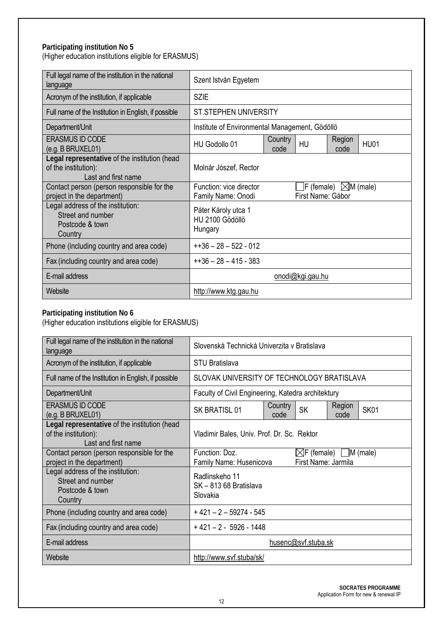#### **Participating institution No 5** (Higher education institutions eligible for ERASMUS)

| Full legal name of the institution in the national<br>language                               | Szent István Egyetem                              |                 |                   |                                   |             |
|----------------------------------------------------------------------------------------------|---------------------------------------------------|-----------------|-------------------|-----------------------------------|-------------|
| Acronym of the institution, if applicable                                                    | <b>SZIE</b>                                       |                 |                   |                                   |             |
| Full name of the Institution in English, if possible                                         | <b>ST.STEPHEN UNIVERSITY</b>                      |                 |                   |                                   |             |
| Department/Unit                                                                              | Institute of Environmental Management, Gödöllö    |                 |                   |                                   |             |
| <b>ERASMUS ID CODE</b><br>(e.g. B BRUXEL01)                                                  | HU Godollo 01                                     | Country<br>code | HU                | Region<br>code                    | <b>HU01</b> |
| Legal representative of the institution (head<br>of the institution):<br>Last and first name | Molnár Jószef, Rector                             |                 |                   |                                   |             |
| Contact person (person responsible for the<br>project in the department)                     | Function: vice director<br>Family Name: Onodi     |                 | First Name: Gábor | $\Box$ F (female) $\Box$ M (male) |             |
| Legal address of the institution:<br>Street and number<br>Postcode & town<br>Country         | Páter Károly utca 1<br>HU 2100 Gödöllö<br>Hungary |                 |                   |                                   |             |
| Phone (including country and area code)                                                      | $+136 - 28 - 522 - 012$                           |                 |                   |                                   |             |
| Fax (including country and area code)                                                        | $+36 - 28 - 415 - 383$                            |                 |                   |                                   |             |
| E-mail address                                                                               | onodi@kgi.gau.hu                                  |                 |                   |                                   |             |
| Website                                                                                      | http://www.ktg.gau.hu                             |                 |                   |                                   |             |

#### **Participating institution No 6**

| Full legal name of the institution in the national<br>language                               | Slovenská Technická Univerzita v Bratislava                                                                |  |  |
|----------------------------------------------------------------------------------------------|------------------------------------------------------------------------------------------------------------|--|--|
| Acronym of the institution, if applicable                                                    | <b>STU Bratislava</b>                                                                                      |  |  |
| Full name of the Institution in English, if possible                                         | SLOVAK UNIVERSITY OF TECHNOLOGY BRATISLAVA                                                                 |  |  |
| Department/Unit                                                                              | Faculty of Civil Engineering, Katedra architektury                                                         |  |  |
| <b>ERASMUS ID CODE</b><br>(e.g. B BRUXEL01)                                                  | Country<br>Region<br><b>SK</b><br><b>SK01</b><br>SK BRATISL 01<br>code<br>code                             |  |  |
| Legal representative of the institution (head<br>of the institution):<br>Last and first name | Vladimir Bales, Univ. Prof. Dr. Sc. Rektor                                                                 |  |  |
| Contact person (person responsible for the<br>project in the department)                     | $\boxtimes$ F (female) $\Box$ M (male)<br>Function: Doz.<br>First Name: Jarmila<br>Family Name: Husenicova |  |  |
| Legal address of the institution:<br>Street and number<br>Postcode & town<br>Country         | Radlinskeho 11<br>SK-81368 Bratislava<br>Slovakia                                                          |  |  |
| Phone (including country and area code)                                                      | $+421 - 2 - 59274 - 545$                                                                                   |  |  |
| Fax (including country and area code)                                                        | $+421 - 2 - 5926 - 1448$                                                                                   |  |  |
| E-mail address                                                                               | husenc@svf.stuba.sk                                                                                        |  |  |
| Website                                                                                      | http://www.svf.stuba/sk/                                                                                   |  |  |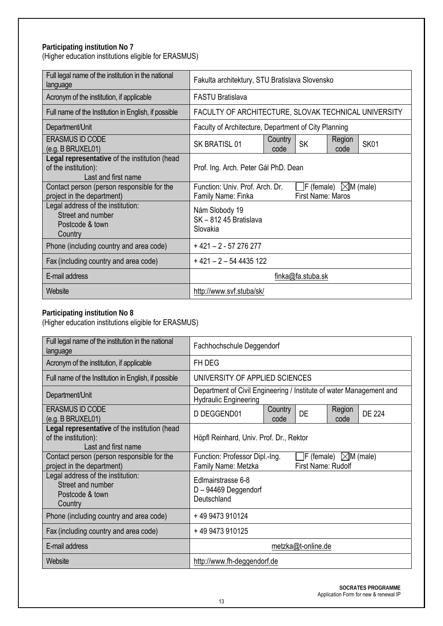# **Participating institution No 7**

(Higher education institutions eligible for ERASMUS)

| Full legal name of the institution in the national<br>language                               | Fakulta architektury, STU Bratislava Slovensko                                                                                    |  |  |
|----------------------------------------------------------------------------------------------|-----------------------------------------------------------------------------------------------------------------------------------|--|--|
| Acronym of the institution, if applicable                                                    | <b>FASTU Bratislava</b>                                                                                                           |  |  |
| Full name of the Institution in English, if possible                                         | FACULTY OF ARCHITECTURE, SLOVAK TECHNICAL UNIVERSITY                                                                              |  |  |
| Department/Unit                                                                              | Faculty of Architecture, Department of City Planning                                                                              |  |  |
| <b>ERASMUS ID CODE</b><br>(e.g. B BRUXEL01)                                                  | Country<br>Region<br><b>SK</b><br><b>SK01</b><br>SK BRATISL 01<br>code<br>code                                                    |  |  |
| Legal representative of the institution (head<br>of the institution):<br>Last and first name | Prof. Ing. Arch. Peter Gál PhD. Dean                                                                                              |  |  |
| Contact person (person responsible for the<br>project in the department)                     | Function: Univ. Prof. Arch. Dr.<br>$\mathsf{F}$ (female) $\mathbb{\boxtimes M}$ (male)<br>First Name: Maros<br>Family Name: Finka |  |  |
| Legal address of the institution:<br>Street and number<br>Postcode & town<br>Country         | Nám Slobody 19<br>SK-81245 Bratislava<br>Slovakia                                                                                 |  |  |
| Phone (including country and area code)                                                      | $+421 - 2 - 57276277$                                                                                                             |  |  |
| Fax (including country and area code)                                                        | $+421 - 2 - 544435122$                                                                                                            |  |  |
| E-mail address                                                                               | finka@fa.stuba.sk                                                                                                                 |  |  |
| Website                                                                                      | http://www.svf.stuba/sk/                                                                                                          |  |  |

#### **Participating institution No 8**

| Full legal name of the institution in the national<br>language                               | Fachhochschule Deggendorf                                                                                        |  |  |
|----------------------------------------------------------------------------------------------|------------------------------------------------------------------------------------------------------------------|--|--|
| Acronym of the institution, if applicable                                                    | FH DEG                                                                                                           |  |  |
| Full name of the Institution in English, if possible                                         | UNIVERSITY OF APPLIED SCIENCES                                                                                   |  |  |
| Department/Unit                                                                              | Department of Civil Engineering / Institute of water Management and<br><b>Hydraulic Engineering</b>              |  |  |
| <b>ERASMUS ID CODE</b><br>(e.g. B BRUXEL01)                                                  | Region<br>Country<br>DE<br><b>DE 224</b><br>D DEGGEND01<br>code<br>code                                          |  |  |
| Legal representative of the institution (head<br>of the institution):<br>Last and first name | Höpfl Reinhard, Univ. Prof. Dr., Rektor                                                                          |  |  |
| Contact person (person responsible for the<br>project in the department)                     | $\Box$ F (female) $\Box$ M (male)<br>Function: Professor Dipl.-Ing.<br>First Name: Rudolf<br>Family Name: Metzka |  |  |
| Legal address of the institution:<br>Street and number<br>Postcode & town<br>Country         | Edlmairstrasse 6-8<br>$D - 94469$ Deggendorf<br>Deutschland                                                      |  |  |
| Phone (including country and area code)                                                      | +49 9473 910124                                                                                                  |  |  |
| Fax (including country and area code)                                                        | +49 9473 910125                                                                                                  |  |  |
| E-mail address                                                                               | metzka@t-online.de                                                                                               |  |  |
| Website                                                                                      | http://www.fh-deggendorf.de                                                                                      |  |  |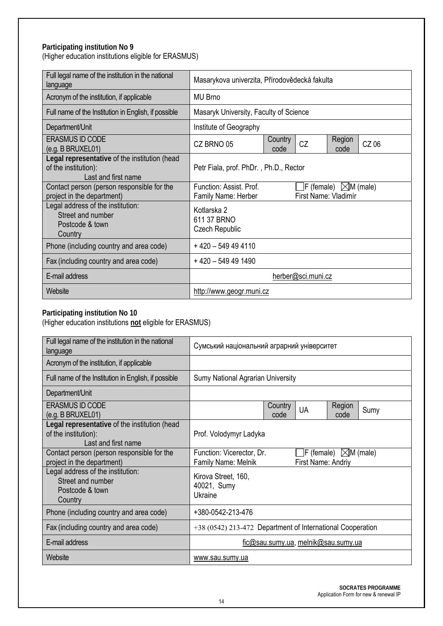#### **Participating institution No 9**

(Higher education institutions eligible for ERASMUS)

| Full legal name of the institution in the national<br>language                               | Masarykova univerzita, Přírodovědecká fakulta                         |  |                      |                                           |  |
|----------------------------------------------------------------------------------------------|-----------------------------------------------------------------------|--|----------------------|-------------------------------------------|--|
| Acronym of the institution, if applicable                                                    | <b>MU Brno</b>                                                        |  |                      |                                           |  |
| Full name of the Institution in English, if possible                                         | Masaryk University, Faculty of Science                                |  |                      |                                           |  |
| Department/Unit                                                                              | Institute of Geography                                                |  |                      |                                           |  |
| <b>ERASMUS ID CODE</b><br>(e.g. B BRUXEL01)                                                  | Region<br>Country<br><b>CZ</b><br>CZ 06<br>CZ BRNO 05<br>code<br>code |  |                      |                                           |  |
| Legal representative of the institution (head<br>of the institution):<br>Last and first name | Petr Fiala, prof. PhDr., Ph.D., Rector                                |  |                      |                                           |  |
| Contact person (person responsible for the<br>project in the department)                     | Function: Assist. Prof.<br>Family Name: Herber                        |  | First Name: Vladimír | $\vert$ F (female) $\vert\angle$ M (male) |  |
| Legal address of the institution:<br>Street and number<br>Postcode & town<br>Country         | Kotlarska 2<br>611 37 BRNO<br>Czech Republic                          |  |                      |                                           |  |
| Phone (including country and area code)                                                      | + 420 - 549 49 4110                                                   |  |                      |                                           |  |
| Fax (including country and area code)                                                        | $+420 - 549491490$                                                    |  |                      |                                           |  |
| E-mail address                                                                               | herber@sci.muni.cz                                                    |  |                      |                                           |  |
| Website                                                                                      | http://www.geogr.muni.cz                                              |  |                      |                                           |  |

#### **Participating institution No 10**

| Full legal name of the institution in the national<br>language                               | Сумський національний аграрний університет                                                                            |  |  |
|----------------------------------------------------------------------------------------------|-----------------------------------------------------------------------------------------------------------------------|--|--|
| Acronym of the institution, if applicable                                                    |                                                                                                                       |  |  |
| Full name of the Institution in English, if possible                                         | <b>Sumy National Agrarian University</b>                                                                              |  |  |
| Department/Unit                                                                              |                                                                                                                       |  |  |
| <b>ERASMUS ID CODE</b><br>(e.g. B BRUXEL01)                                                  | Country<br>Region<br><b>UA</b><br>Sumy<br>code<br>code                                                                |  |  |
| Legal representative of the institution (head<br>of the institution):<br>Last and first name | Prof. Volodymyr Ladyka                                                                                                |  |  |
| Contact person (person responsible for the<br>project in the department)                     | $\mathsf{F}$ (female) $\mathbb{Z}$ M (male)<br>Function: Vicerector, Dr.<br>First Name: Andriy<br>Family Name: Melnik |  |  |
| Legal address of the institution:<br>Street and number<br>Postcode & town<br>Country         | Kirova Street, 160,<br>40021, Sumy<br>Ukraine                                                                         |  |  |
| Phone (including country and area code)                                                      | +380-0542-213-476                                                                                                     |  |  |
| Fax (including country and area code)                                                        | +38 (0542) 213-472 Department of International Cooperation                                                            |  |  |
| E-mail address                                                                               | fic@sau.sumy.ua, melnik@sau.sumy.ua                                                                                   |  |  |
| Website                                                                                      | www.sau.sumy.ua                                                                                                       |  |  |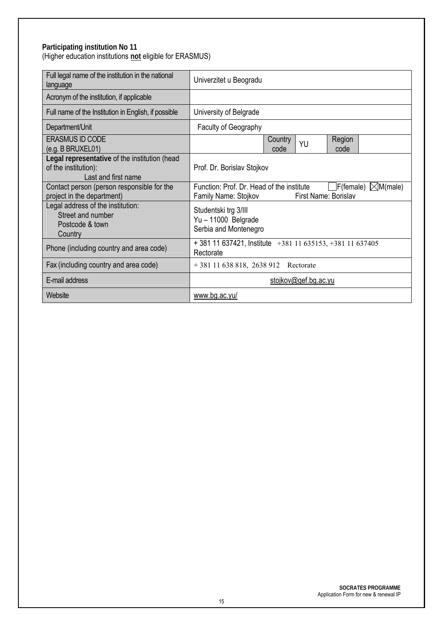#### **Participating institution No 11**  (Higher education institutions **not** eligible for ERASMUS)

| Full legal name of the institution in the national<br>language                               | Univerzitet u Beogradu                                                                                                        |  |  |
|----------------------------------------------------------------------------------------------|-------------------------------------------------------------------------------------------------------------------------------|--|--|
| Acronym of the institution, if applicable                                                    |                                                                                                                               |  |  |
| Full name of the Institution in English, if possible                                         | University of Belgrade                                                                                                        |  |  |
| Department/Unit                                                                              | Faculty of Geography                                                                                                          |  |  |
| <b>ERASMUS ID CODE</b><br>(e.g. B BRUXEL01)                                                  | Country<br>Region<br>YU<br>code<br>code                                                                                       |  |  |
| Legal representative of the institution (head<br>of the institution):<br>Last and first name | Prof. Dr. Borislav Stojkov                                                                                                    |  |  |
| Contact person (person responsible for the<br>project in the department)                     | Function: Prof. Dr. Head of the institute<br>$\Box$ F(female) $\Box M$ (male)<br>First Name: Borislav<br>Family Name: Stojkov |  |  |
| Legal address of the institution:<br>Street and number<br>Postcode & town<br>Country         | Studentski trg 3/III<br>Yu-11000 Belgrade<br>Serbia and Montenegro                                                            |  |  |
| Phone (including country and area code)                                                      | $+381$ 11 637421, Institute $+381$ 11 635153, +381 11 637405<br>Rectorate                                                     |  |  |
| Fax (including country and area code)                                                        | +381 11 638 818, 2638 912 Rectorate                                                                                           |  |  |
| E-mail address                                                                               | stojkov@gef.bg.ac.yu                                                                                                          |  |  |
| Website                                                                                      | www.bg.ac.yu/                                                                                                                 |  |  |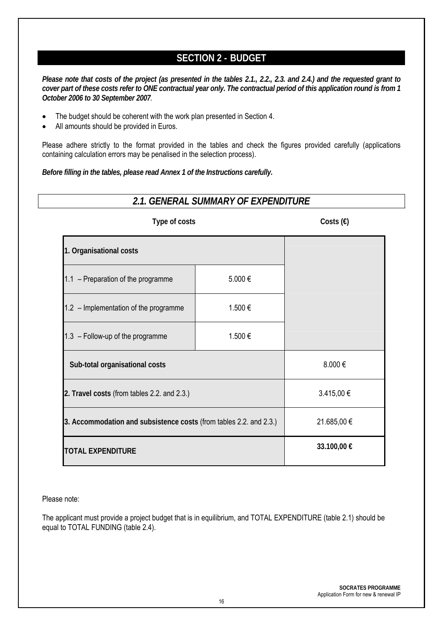# **SECTION 2 - BUDGET**

*Please note that costs of the project (as presented in the tables 2.1., 2.2., 2.3. and 2.4.) and the requested grant to cover part of these costs refer to ONE contractual year only. The contractual period of this application round is from 1 October 2006 to 30 September 2007.*

- The budget should be coherent with the work plan presented in Section 4.
- All amounts should be provided in Euros.

Please adhere strictly to the format provided in the tables and check the figures provided carefully (applications containing calculation errors may be penalised in the selection process).

*Before filling in the tables, please read Annex 1 of the Instructions carefully.*

| 2.1. GENERAL SUMMARY OF EXPENDITURE                                |             |                    |  |  |
|--------------------------------------------------------------------|-------------|--------------------|--|--|
| Type of costs                                                      |             | Costs $(\epsilon)$ |  |  |
| 1. Organisational costs                                            |             |                    |  |  |
| 1.1 - Preparation of the programme                                 | 5.000€      |                    |  |  |
| 1.2 - Implementation of the programme<br>1.500€                    |             |                    |  |  |
| 1.3 - Follow-up of the programme<br>1.500 €                        |             |                    |  |  |
| Sub-total organisational costs                                     | 8.000€      |                    |  |  |
| 2. Travel costs (from tables 2.2. and 2.3.)                        | 3.415,00 €  |                    |  |  |
| 3. Accommodation and subsistence costs (from tables 2.2. and 2.3.) | 21.685,00 € |                    |  |  |
| <b>TOTAL EXPENDITURE</b>                                           |             | 33.100,00 €        |  |  |

Please note:

The applicant must provide a project budget that is in equilibrium, and TOTAL EXPENDITURE (table 2.1) should be equal to TOTAL FUNDING (table 2.4).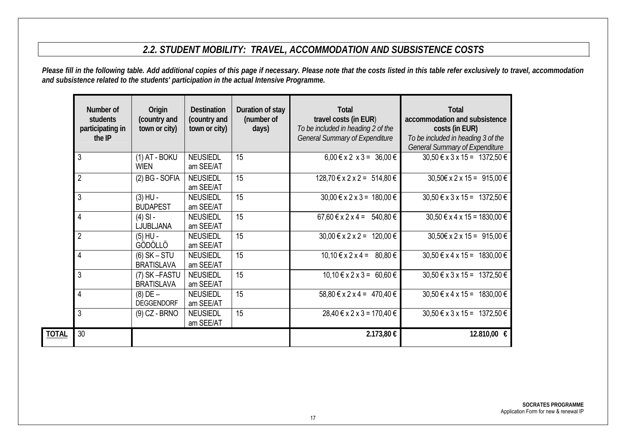# *2.2. STUDENT MOBILITY: TRAVEL, ACCOMMODATION AND SUBSISTENCE COSTS*

*Please fill in the following table. Add additional copies of this page if necessary. Please note that the costs listed in this table refer exclusively to travel, accommodation and subsistence related to the students' participation in the actual Intensive Programme.* 

|              | Number of<br>students<br>participating in<br>the IP | Origin<br>(country and<br>town or city) | <b>Destination</b><br>(country and<br>town or city) | Duration of stay<br>(number of<br>days) | <b>Total</b><br>travel costs (in EUR)<br>To be included in heading 2 of the<br><b>General Summary of Expenditure</b> | <b>Total</b><br>accommodation and subsistence<br>costs (in EUR)<br>To be included in heading 3 of the<br><b>General Summary of Expenditure</b> |
|--------------|-----------------------------------------------------|-----------------------------------------|-----------------------------------------------------|-----------------------------------------|----------------------------------------------------------------------------------------------------------------------|------------------------------------------------------------------------------------------------------------------------------------------------|
|              | 3                                                   | $(1)$ AT - BOKU<br><b>WIEN</b>          | <b>NEUSIEDL</b><br>am SEE/AT                        | 15                                      | $6,00 \le x \le 2 \times 3 = 36,00 \in$                                                                              | $30,50 \in x 3 x 15 = 1372,50 \in$                                                                                                             |
|              | $\overline{2}$                                      | $(2)$ BG - SOFIA                        | <b>NEUSIEDL</b><br>am SEE/AT                        | 15                                      | $128,70 \in x 2 \times 2 = 514,80 \in$                                                                               | $30,50 \in x 2 \times 15 = 915,00 \in$                                                                                                         |
|              | 3                                                   | $(3)$ HU -<br><b>BUDAPEST</b>           | <b>NEUSIEDL</b><br>am SEE/AT                        | 15                                      | $30,00 \le x \le 2 \times 3 = 180,00 \in$                                                                            | $30,50 \in x 3 x 15 = 1372,50 \in$                                                                                                             |
|              | $\overline{4}$                                      | $(4)$ SI -<br>LJUBLJANA                 | <b>NEUSIEDL</b><br>am SEE/AT                        | 15                                      | $67,60 \le x \le 2 \times 4 = 540,80 \in$                                                                            | $30,50 \in x 4 x 15 = 1830,00 \in$                                                                                                             |
|              | $\overline{2}$                                      | $(5)$ HU -<br>GÖDÖLLÖ                   | <b>NEUSIEDL</b><br>am SEE/AT                        | 15                                      | $30,00 \le x \le 2 \times 2 = 120,00 \in$                                                                            | $30,50 \in x 2 \times 15 = 915,00 \in$                                                                                                         |
|              | $\overline{4}$                                      | $(6)$ SK – STU<br><b>BRATISLAVA</b>     | <b>NEUSIEDL</b><br>am SEE/AT                        | 15                                      | $10,10 \in x 2x 4 = 80,80 \in$                                                                                       | $30,50 \in x 4 x 15 = 1830,00 \in$                                                                                                             |
|              | 3                                                   | (7) SK-FASTU<br><b>BRATISLAVA</b>       | <b>NEUSIEDL</b><br>am SEE/AT                        | 15                                      | $10,10 \in x \cdot 2 \times 3 = 60,60 \in$                                                                           | $30,50 \text{ } \in \text{x} \space 3 \text{ } \text{x} \space 15 = 1372,50 \text{ } \in \text{ }$                                             |
|              | $\overline{4}$                                      | $(8)$ DE $-$<br><b>DEGGENDORF</b>       | <b>NEUSIEDL</b><br>am SEE/AT                        | 15                                      | 58,80 € x 2 x 4 = 470,40 €                                                                                           | $30,50 \in x 4 x 15 = 1830,00 \in$                                                                                                             |
|              | 3                                                   | $(9)$ CZ - BRNO                         | <b>NEUSIEDL</b><br>am SEE/AT                        | 15                                      | $28,40 \in x 2 x 3 = 170,40 \in$                                                                                     | $30,50 \in x 3 x 15 = 1372,50 \in$                                                                                                             |
| <b>TOTAL</b> | 30                                                  |                                         |                                                     |                                         | 2.173,80 €                                                                                                           | 12.810,00 €                                                                                                                                    |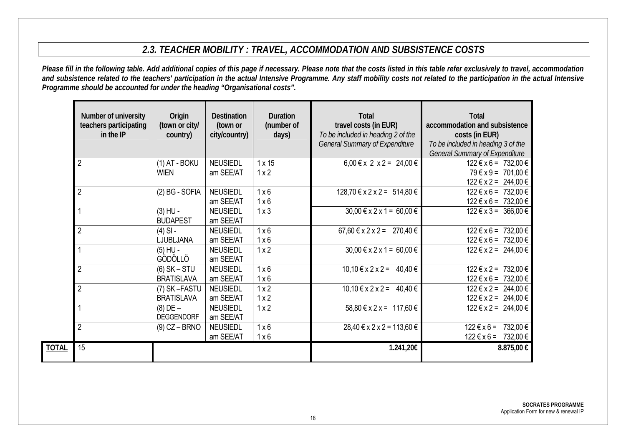# *2.3. TEACHER MOBILITY : TRAVEL, ACCOMMODATION AND SUBSISTENCE COSTS*

*Please fill in the following table. Add additional copies of this page if necessary. Please note that the costs listed in this table refer exclusively to travel, accommodation and subsistence related to the teachers' participation in the actual Intensive Programme. Any staff mobility costs not related to the participation in the actual Intensive Programme should be accounted for under the heading "Organisational costs".*

|              | Number of university<br>teachers participating<br>$in$ the IP | Origin<br>(town or city/<br>country) | <b>Destination</b><br>(town or<br>city/country) | <b>Duration</b><br>(number of<br>days) | <b>Total</b><br>travel costs (in EUR)<br>To be included in heading 2 of the<br><b>General Summary of Expenditure</b> | <b>Total</b><br>accommodation and subsistence<br>costs (in EUR)<br>To be included in heading 3 of the<br><b>General Summary of Expenditure</b> |
|--------------|---------------------------------------------------------------|--------------------------------------|-------------------------------------------------|----------------------------------------|----------------------------------------------------------------------------------------------------------------------|------------------------------------------------------------------------------------------------------------------------------------------------|
|              | $\overline{2}$                                                | $(1)$ AT - BOKU<br><b>WIEN</b>       | <b>NEUSIEDL</b><br>am SEE/AT                    | $1 \times 15$<br>1x2                   | $6,00 \in x$ 2 $x$ 2 = 24,00 $\in$                                                                                   | $122 \text{ } \in x \text{ } 6 = 732,00 \text{ } \in$<br>79 € x 9 = 701,00 €<br>$122 \text{ } \in x2 = 244,00 \in$                             |
|              | $\overline{2}$                                                | (2) BG - SOFIA                       | <b>NEUSIEDL</b><br>am SEE/AT                    | $1 \times 6$<br>1x6                    | $128,70 \in x 2 \times 2 = 514,80 \in$                                                                               | $122 \le x 6 = 732.00 \le$<br>$122 \text{ } \in x 6 = 732,00 \in$                                                                              |
|              |                                                               | $(3)$ HU -<br><b>BUDAPEST</b>        | <b>NEUSIEDL</b><br>am SEE/AT                    | $1 \times 3$                           | $30,00 \le x \le 2 \times 1 = 60,00 \in$                                                                             | $122 \le x 3 = 366,00 \in$                                                                                                                     |
|              | $\overline{2}$                                                | $(4)$ SI -<br>LJUBLJANA              | <b>NEUSIEDL</b><br>am SEE/AT                    | 1x6<br>1x6                             | $67,60 \le x \le 2 \times 2 = 270,40 \in$                                                                            | $122 \text{ } \in x 6 = 732,00 \in$<br>$122 \text{ } \in x 6 = 732,00 \text{ } \in$                                                            |
|              |                                                               | $(5)$ HU -<br>GÖDÖLLÖ                | <b>NEUSIEDL</b><br>am SEE/AT                    | 1x2                                    | $30,00 \le x \le 2 \times 1 = 60,00 \in$                                                                             | $122 \text{ } \in x2 = 244,00 \in$                                                                                                             |
|              | $\overline{2}$                                                | $(6)$ SK – STU<br><b>BRATISLAVA</b>  | <b>NEUSIEDL</b><br>am SEE/AT                    | 1x6<br>$1 \times 6$                    | $10,10 \le x \le 2 \times 2 = 40,40 \in$                                                                             | $122 \text{ } \in x2 = 732,00 \in$<br>$122 \text{ } \in x 6 = 732,00 \in$                                                                      |
|              | $\overline{2}$                                                | (7) SK-FASTU<br><b>BRATISLAVA</b>    | <b>NEUSIEDL</b><br>am SEE/AT                    | 1x2<br>1x2                             | $10,10 \le x \le 2 \times 2 = 40,40 \in$                                                                             | $122 \text{ } \in x2 = 244,00 \in$<br>$122 \text{ } \in x2 = 244,00 \in$                                                                       |
|              |                                                               | $(8)$ DE $-$<br><b>DEGGENDORF</b>    | <b>NEUSIEDL</b><br>am SEE/AT                    | 1x2                                    | $58,80 \text{ } \in \text{x} \text{ } 2 \text{ } \text{x} = 117,60 \text{ } \in \text{ }$                            | $122 \text{ } \in x2 = 244,00 \in$                                                                                                             |
|              | $\overline{2}$                                                | $(9)$ CZ – BRNO                      | <b>NEUSIEDL</b><br>am SEE/AT                    | 1x6<br>1x6                             | $28,40 \in x 2 x 2 = 113,60 \in$                                                                                     | $122 \text{ } \in x \text{ } 6 = 732,00 \text{ } \in$<br>$122 \text{ } \in x \text{ } 6 = 732,00 \text{ } \in$                                 |
| <b>TOTAL</b> | 15                                                            |                                      |                                                 |                                        | 1.241,20€                                                                                                            | 8.875,00 €                                                                                                                                     |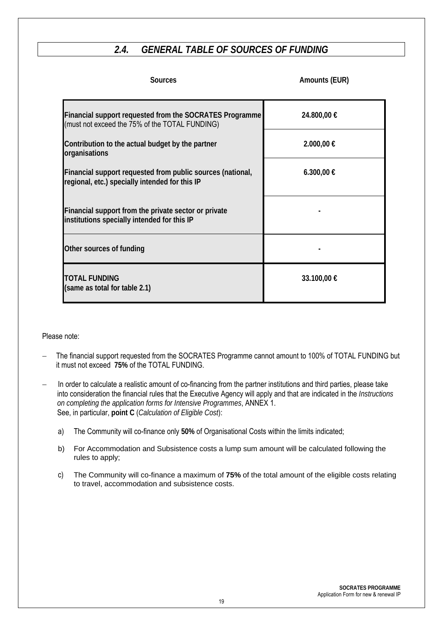# *2.4. GENERAL TABLE OF SOURCES OF FUNDING*

| <b>Sources</b>                                                                                                   | Amounts (EUR) |
|------------------------------------------------------------------------------------------------------------------|---------------|
| <b>Financial support requested from the SOCRATES Programme</b><br>(must not exceed the 75% of the TOTAL FUNDING) | 24.800,00 €   |
| Contribution to the actual budget by the partner<br>organisations                                                | 2.000,00 €    |
| Financial support requested from public sources (national,<br>regional, etc.) specially intended for this IP     | 6.300,00 €    |
| Financial support from the private sector or private<br>institutions specially intended for this IP              |               |
| Other sources of funding                                                                                         |               |
| <b>TOTAL FUNDING</b><br>(same as total for table 2.1)                                                            | 33.100,00 €   |

#### Please note:

- The financial support requested from the SOCRATES Programme cannot amount to 100% of TOTAL FUNDING but it must not exceed **75%** of the TOTAL FUNDING.
- In order to calculate a realistic amount of co-financing from the partner institutions and third parties, please take into consideration the financial rules that the Executive Agency will apply and that are indicated in the *Instructions on completing the application forms for Intensive Programmes*, ANNEX 1. See, in particular, **point C** (*Calculation of Eligible Cost*):
	- a) The Community will co-finance only **50%** of Organisational Costs within the limits indicated;
	- b) For Accommodation and Subsistence costs a lump sum amount will be calculated following the rules to apply;
	- c) The Community will co-finance a maximum of **75%** of the total amount of the eligible costs relating to travel, accommodation and subsistence costs.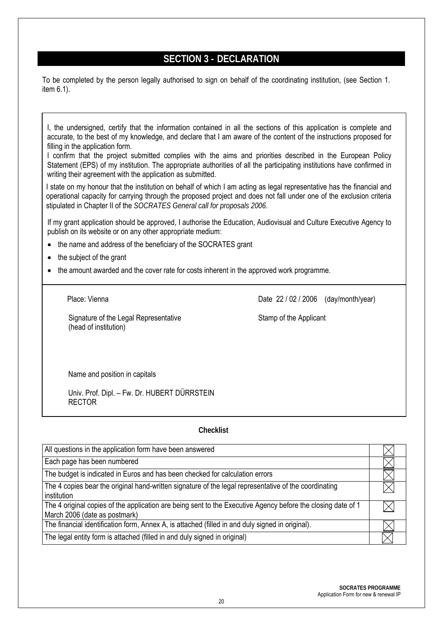# **SECTION 3 - DECLARATION**

To be completed by the person legally authorised to sign on behalf of the coordinating institution, (see Section 1. item 6.1).

I, the undersigned, certify that the information contained in all the sections of this application is complete and accurate, to the best of my knowledge, and declare that I am aware of the content of the instructions proposed for filling in the application form.

I confirm that the project submitted complies with the aims and priorities described in the European Policy Statement (EPS) of my institution. The appropriate authorities of all the participating institutions have confirmed in writing their agreement with the application as submitted.

I state on my honour that the institution on behalf of which I am acting as legal representative has the financial and operational capacity for carrying through the proposed project and does not fall under one of the exclusion criteria stipulated in Chapter II of the *SOCRATES General call for proposals 2006*.

If my grant application should be approved, I authorise the Education, Audiovisual and Culture Executive Agency to publish on its website or on any other appropriate medium:

- the name and address of the beneficiary of the SOCRATES grant
- the subject of the grant
- the amount awarded and the cover rate for costs inherent in the approved work programme.

Signature of the Legal Representative Stamp of the Applicant (head of institution)

Place: Vienna **Date 22/02/2006** (day/month/year)

Name and position in capitals

Univ. Prof. Dipl. – Fw. Dr. HUBERT DÜRRSTEIN RECTOR

#### **Checklist**

| All questions in the application form have been answered                                                                                      |  |
|-----------------------------------------------------------------------------------------------------------------------------------------------|--|
| Each page has been numbered                                                                                                                   |  |
| The budget is indicated in Euros and has been checked for calculation errors                                                                  |  |
| The 4 copies bear the original hand-written signature of the legal representative of the coordinating<br>institution                          |  |
| The 4 original copies of the application are being sent to the Executive Agency before the closing date of 1<br>March 2006 (date as postmark) |  |
| The financial identification form, Annex A, is attached (filled in and duly signed in original).                                              |  |
| The legal entity form is attached (filled in and duly signed in original)                                                                     |  |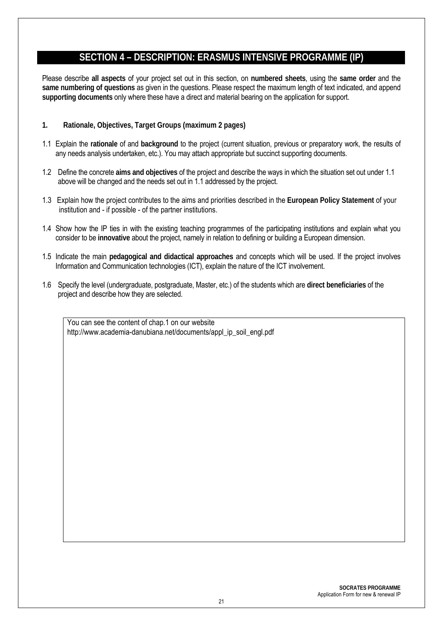# **SECTION 4 – DESCRIPTION: ERASMUS INTENSIVE PROGRAMME (IP)**

Please describe **all aspects** of your project set out in this section, on **numbered sheets**, using the **same order** and the **same numbering of questions** as given in the questions. Please respect the maximum length of text indicated, and append **supporting documents** only where these have a direct and material bearing on the application for support.

- **1. Rationale, Objectives, Target Groups (maximum 2 pages)**
- 1.1 Explain the **rationale** of and **background** to the project (current situation, previous or preparatory work, the results of any needs analysis undertaken, etc.). You may attach appropriate but succinct supporting documents.
- 1.2 Define the concrete **aims and objectives** of the project and describe the ways in which the situation set out under 1.1 above will be changed and the needs set out in 1.1 addressed by the project.
- 1.3 Explain how the project contributes to the aims and priorities described in the **European Policy Statement** of your institution and - if possible - of the partner institutions.
- 1.4 Show how the IP ties in with the existing teaching programmes of the participating institutions and explain what you consider to be **innovative** about the project, namely in relation to defining or building a European dimension.
- 1.5 Indicate the main **pedagogical and didactical approaches** and concepts which will be used. If the project involves Information and Communication technologies (ICT), explain the nature of the ICT involvement.
- 1.6 Specify the level (undergraduate, postgraduate, Master, etc.) of the students which are **direct beneficiaries** of the project and describe how they are selected.

You can see the content of chap.1 on our website http://www.academia-danubiana.net/documents/appl\_ip\_soil\_engl.pdf

> **SOCRATES PROGRAMME**  Application Form for new & renewal IP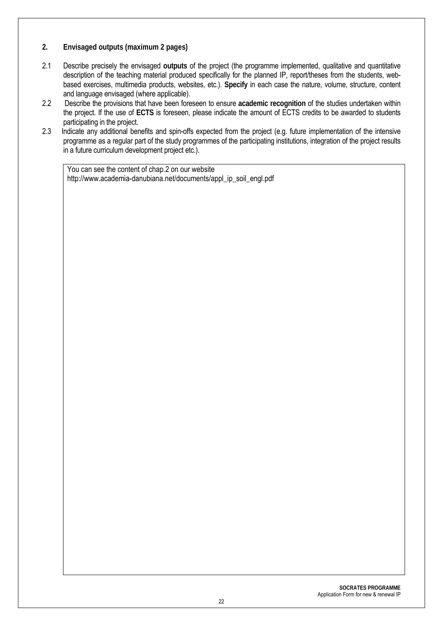- **2. Envisaged outputs (maximum 2 pages)**
- 2.1 Describe precisely the envisaged **outputs** of the project (the programme implemented, qualitative and quantitative description of the teaching material produced specifically for the planned IP, report/theses from the students, webbased exercises, multimedia products, websites, etc.). **Specify** in each case the nature, volume, structure, content and language envisaged (where applicable).
- 2.2 Describe the provisions that have been foreseen to ensure **academic recognition** of the studies undertaken within the project. If the use of **ECTS** is foreseen, please indicate the amount of ECTS credits to be awarded to students participating in the project.
- 2.3 Indicate any additional benefits and spin-offs expected from the project (e.g. future implementation of the intensive programme as a regular part of the study programmes of the participating institutions, integration of the project results in a future curriculum development project etc.).

You can see the content of chap.2 on our website http://www.academia-danubiana.net/documents/appl\_ip\_soil\_engl.pdf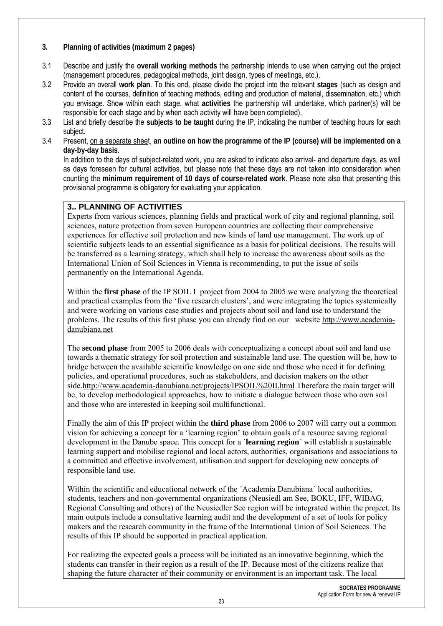#### **3. Planning of activities (maximum 2 pages)**

- 3.1 Describe and justify the **overall working methods** the partnership intends to use when carrying out the project (management procedures, pedagogical methods, joint design, types of meetings, etc.).
- 3.2 Provide an overall **work plan**. To this end, please divide the project into the relevant **stages** (such as design and content of the courses, definition of teaching methods, editing and production of material, dissemination, etc.) which you envisage. Show within each stage, what **activities** the partnership will undertake, which partner(s) will be responsible for each stage and by when each activity will have been completed).
- 3.3 List and briefly describe the **subjects to be taught** during the IP, indicating the number of teaching hours for each subject.
- 3.4 Present, on a separate sheet, **an outline on how the programme of the IP (course) will be implemented on a day-by-day basis**.

In addition to the days of subject-related work, you are asked to indicate also arrival- and departure days, as well as days foreseen for cultural activities, but please note that these days are not taken into consideration when counting the **minimum requirement of 10 days of course-related work**. Please note also that presenting this provisional programme is obligatory for evaluating your application.

#### **3.. PLANNING OF ACTIVITIES**

Experts from various sciences, planning fields and practical work of city and regional planning, soil sciences, nature protection from seven European countries are collecting their comprehensive experiences for effective soil protection and new kinds of land use management. The work up of scientific subjects leads to an essential significance as a basis for political decisions. The results will be transferred as a learning strategy, which shall help to increase the awareness about soils as the International Union of Soil Sciences in Vienna is recommending, to put the issue of soils permanently on the International Agenda.

Within the **first phase** of the IP SOIL I project from 2004 to 2005 we were analyzing the theoretical and practical examples from the 'five research clusters', and were integrating the topics systemically and were working on various case studies and projects about soil and land use to understand the problems. The results of this first phase you can already find on our website http://www.academiadanubiana.net

The **second phase** from 2005 to 2006 deals with conceptualizing a concept about soil and land use towards a thematic strategy for soil protection and sustainable land use. The question will be, how to bridge between the available scientific knowledge on one side and those who need it for defining policies, and operational procedures, such as stakeholders, and decision makers on the other side.http://www.academia-danubiana.net/projects/IPSOIL%20II.html Therefore the main target will be, to develop methodological approaches, how to initiate a dialogue between those who own soil and those who are interested in keeping soil multifunctional.

Finally the aim of this IP project within the **third phase** from 2006 to 2007 will carry out a common vision for achieving a concept for a 'learning region' to obtain goals of a resource saving regional development in the Danube space. This concept for a ´**learning region**´ will establish a sustainable learning support and mobilise regional and local actors, authorities, organisations and associations to a committed and effective involvement, utilisation and support for developing new concepts of responsible land use.

Within the scientific and educational network of the 'Academia Danubiana' local authorities, students, teachers and non-governmental organizations (Neusiedl am See, BOKU, IFF, WIBAG, Regional Consulting and others) of the Neusiedler See region will be integrated within the project. Its main outputs include a consultative learning audit and the development of a set of tools for policy makers and the research community in the frame of the International Union of Soil Sciences. The results of this IP should be supported in practical application.

For realizing the expected goals a process will be initiated as an innovative beginning, which the students can transfer in their region as a result of the IP. Because most of the citizens realize that shaping the future character of their community or environment is an important task. The local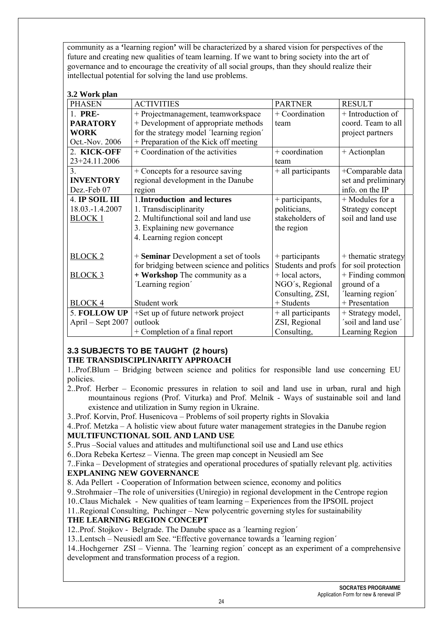community as a **'**learning region**'** will be characterized by a shared vision for perspectives of the future and creating new qualities of team learning. If we want to bring society into the art of governance and to encourage the creativity of all social groups, than they should realize their intellectual potential for solving the land use problems.

#### **3.2 Work plan**

| <b>PHASEN</b>     | <b>ACTIVITIES</b>                         | <b>PARTNER</b>     | <b>RESULT</b>       |
|-------------------|-------------------------------------------|--------------------|---------------------|
| 1. PRE-           | + Projectmanagement, teamworkspace        | + Coordination     | + Introduction of   |
| <b>PARATORY</b>   | + Development of appropriate methods      | team               | coord. Team to all  |
| <b>WORK</b>       |                                           |                    |                     |
|                   | for the strategy model 'learning region'  |                    | project partners    |
| Oct.-Nov. 2006    | + Preparation of the Kick off meeting     |                    |                     |
| 2. KICK-OFF       | + Coordination of the activities          | + coordination     | + Actionplan        |
| 23+24.11.2006     |                                           | team               |                     |
| $\mathcal{E}$     | + Concepts for a resource saving          | + all participants | +Comparable data    |
| <b>INVENTORY</b>  | regional development in the Danube        |                    | set and preliminary |
| Dez.-Feb 07       | region                                    |                    | info. on the IP     |
| 4. IP SOIL III    | 1. Introduction and lectures              | + participants,    | + Modules for a     |
| 18.03.-1.4.2007   | 1. Transdisciplinarity                    | politicians,       | Strategy concept    |
| <b>BLOCK 1</b>    | 2. Multifunctional soil and land use      | stakeholders of    | soil and land use   |
|                   | 3. Explaining new governance              | the region         |                     |
|                   | 4. Learning region concept                |                    |                     |
|                   |                                           |                    |                     |
| <b>BLOCK 2</b>    | + Seminar Development a set of tools      | $+$ participants   | + thematic strategy |
|                   | for bridging between science and politics | Students and profs | for soil protection |
| <b>BLOCK 3</b>    | + Workshop The community as a             | + local actors,    | + Finding common    |
|                   | 'Learning region'                         | NGO's, Regional    | ground of a         |
|                   |                                           | Consulting, ZSI,   | 'learning region'   |
| <b>BLOCK 4</b>    | Student work                              | $+$ Students       | + Presentation      |
| 5. FOLLOW UP      | +Set up of future network project         | + all participants | + Strategy model,   |
| April – Sept 2007 | outlook                                   | ZSI, Regional      | 'soil and land use' |
|                   | + Completion of a final report            | Consulting,        | Learning Region     |

### **3.3 SUBJECTS TO BE TAUGHT (2 hours) THE TRANSDISCIPLINARITY APPROACH**

1..Prof.Blum – Bridging between science and politics for responsible land use concerning EU policies.

2..Prof. Herber – Economic pressures in relation to soil and land use in urban, rural and high mountainous regions (Prof. Viturka) and Prof. Melnik - Ways of sustainable soil and land existence and utilization in Sumy region in Ukraine.

3..Prof. Korvin, Prof. Husenicova – Problems of soil property rights in Slovakia

4..Prof. Metzka – A holistic view about future water management strategies in the Danube region **MULTIFUNCTIONAL SOIL AND LAND USE** 

5..Prus –Social values and attitudes and multifunctional soil use and Land use ethics

6..Dora Rebeka Kertesz – Vienna. The green map concept in Neusiedl am See

7..Finka – Development of strategies and operational procedures of spatially relevant plg. activities **EXPLANING NEW GOVERNANCE** 

8. Ada Pellert - Cooperation of Information between science, economy and politics

9..Strohmaier –The role of universities (Uniregio) in regional development in the Centrope region

10..Claus Michalek - New qualities of team learning – Experiences from the IPSOIL project

11..Regional Consulting, Puchinger – New polycentric governing styles for sustainability

### **THE LEARNING REGION CONCEPT**

12..Prof. Stojkov - Belgrade. The Danube space as a ´learning region´

13..Lentsch – Neusiedl am See. "Effective governance towards a ´learning region´

14..Hochgerner ZSI – Vienna. The ´learning region´ concept as an experiment of a comprehensive development and transformation process of a region.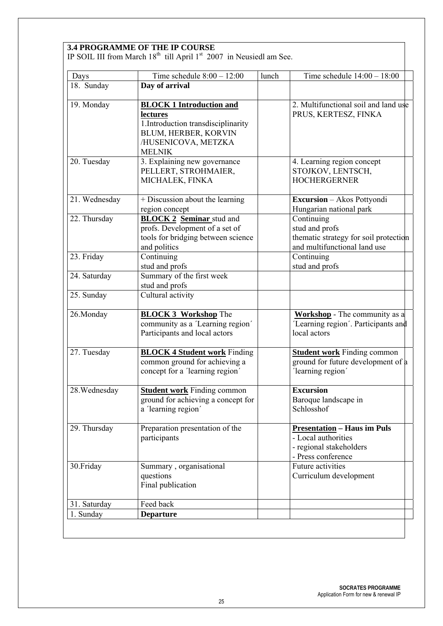|               | <b>3.4 PROGRAMME OF THE IP COURSE</b><br>IP SOIL III from March $18th$ till April $1st$ 2007 in Neusiedl am See.                                   |       |                                                                                                            |
|---------------|----------------------------------------------------------------------------------------------------------------------------------------------------|-------|------------------------------------------------------------------------------------------------------------|
|               |                                                                                                                                                    |       |                                                                                                            |
| Days          | Time schedule $8:00 - 12:00$                                                                                                                       | lunch | Time schedule $14:00 - 18:00$                                                                              |
| 18. Sunday    | Day of arrival                                                                                                                                     |       |                                                                                                            |
| 19. Monday    | <b>BLOCK 1 Introduction and</b><br>lectures<br>1. Introduction transdisciplinarity<br>BLUM, HERBER, KORVIN<br>/HUSENICOVA, METZKA<br><b>MELNIK</b> |       | 2. Multifunctional soil and land use<br>PRUS, KERTESZ, FINKA                                               |
| 20. Tuesday   | 3. Explaining new governance<br>PELLERT, STROHMAIER,<br>MICHALEK, FINKA                                                                            |       | 4. Learning region concept<br>STOJKOV, LENTSCH,<br><b>HOCHERGERNER</b>                                     |
| 21. Wednesday | + Discussion about the learning<br>region concept                                                                                                  |       | <b>Excursion</b> - Akos Pottyondi<br>Hungarian national park                                               |
| 22. Thursday  | <b>BLOCK 2</b> Seminar stud and<br>profs. Development of a set of<br>tools for bridging between science<br>and politics                            |       | Continuing<br>stud and profs<br>thematic strategy for soil protection<br>and multifunctional land use      |
| 23. Friday    | Continuing<br>stud and profs                                                                                                                       |       | Continuing<br>stud and profs                                                                               |
| 24. Saturday  | Summary of the first week<br>stud and profs                                                                                                        |       |                                                                                                            |
| 25. Sunday    | Cultural activity                                                                                                                                  |       |                                                                                                            |
| 26.Monday     | <b>BLOCK 3 Workshop The</b><br>community as a 'Learning region'<br>Participants and local actors                                                   |       | <b>Workshop</b> - The community as a<br>'Learning region'. Participants and<br>local actors                |
| 27. Tuesday   | <b>BLOCK 4 Student work Finding</b><br>common ground for achieving a<br>concept for a 'learning region'                                            |       | <b>Student work</b> Finding common<br>ground for future development of a<br>'learning region'              |
| 28. Wednesday | <b>Student work</b> Finding common<br>ground for achieving a concept for<br>a 'learning region'                                                    |       | <b>Excursion</b><br>Baroque landscape in<br>Schlosshof                                                     |
| 29. Thursday  | Preparation presentation of the<br>participants                                                                                                    |       | <b>Presentation - Haus im Puls</b><br>- Local authorities<br>- regional stakeholders<br>- Press conference |
| 30.Friday     | Summary, organisational<br>questions<br>Final publication                                                                                          |       | <b>Future activities</b><br>Curriculum development                                                         |
| 31. Saturday  | Feed back                                                                                                                                          |       |                                                                                                            |
| 1. Sunday     | <b>Departure</b>                                                                                                                                   |       |                                                                                                            |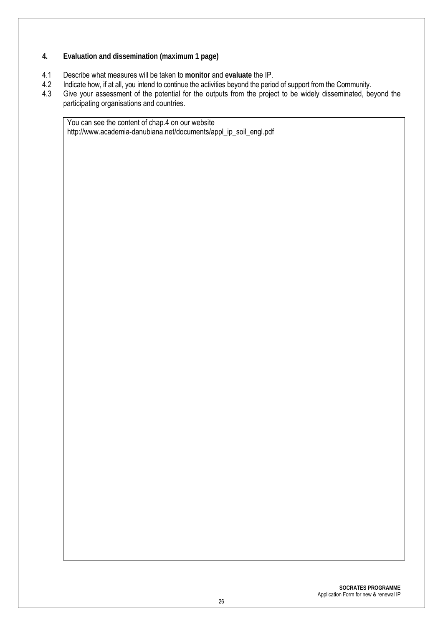- **4. Evaluation and dissemination (maximum 1 page)**
- 4.1 Describe what measures will be taken to **monitor** and **evaluate** the IP.
- 4.2 Indicate how, if at all, you intend to continue the activities beyond the period of support from the Community.<br>4.3 Give your assessment of the potential for the outputs from the project to be widely disseminated, be
- Give your assessment of the potential for the outputs from the project to be widely disseminated, beyond the participating organisations and countries.

You can see the content of chap.4 on our website http://www.academia-danubiana.net/documents/appl\_ip\_soil\_engl.pdf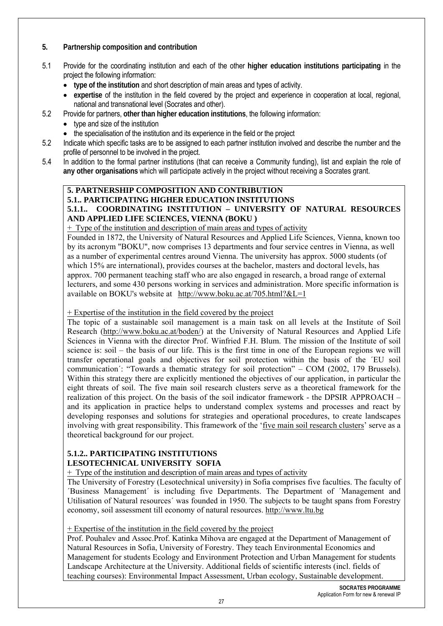#### **5. Partnership composition and contribution**

- 5.1 Provide for the coordinating institution and each of the other **higher education institutions participating** in the project the following information:
	- **type of the institution** and short description of main areas and types of activity.
	- **expertise** of the institution in the field covered by the project and experience in cooperation at local, regional, national and transnational level (Socrates and other).
- 5.2 Provide for partners, **other than higher education institutions**, the following information:
	- type and size of the institution
	- the specialisation of the institution and its experience in the field or the project
- 5.2 Indicate which specific tasks are to be assigned to each partner institution involved and describe the number and the profile of personnel to be involved in the project.
- 5.4 In addition to the formal partner institutions (that can receive a Community funding), list and explain the role of **any other organisations** which will participate actively in the project without receiving a Socrates grant.

#### **5. PARTNERSHIP COMPOSITION AND CONTRIBUTION**

### **5.1.. PARTICIPATING HIGHER EDUCATION INSTITUTIONS**

#### **5.1.1.. COORDINATING INSTITUTION – UNIVERSITY OF NATURAL RESOURCES AND APPLIED LIFE SCIENCES, VIENNA (BOKU )**

+ Type of the institution and description of main areas and types of activity

Founded in 1872, the University of Natural Resources and Applied Life Sciences, Vienna, known too by its acronym "BOKU", now comprises 13 departments and four service centres in Vienna, as well as a number of experimental centres around Vienna. The university has approx. 5000 students (of which 15% are international), provides courses at the bachelor, masters and doctoral levels, has approx. 700 permanent teaching staff who are also engaged in research, a broad range of external lecturers, and some 430 persons working in services and administration. More specific information is available on BOKU's website at http://www.boku.ac.at/705.html?&L=1

+ Expertise of the institution in the field covered by the project

The topic of a sustainable soil management is a main task on all levels at the Institute of Soil Research (http://www.boku.ac.at/boden/) at the University of Natural Resources and Applied Life Sciences in Vienna with the director Prof. Winfried F.H. Blum. The mission of the Institute of soil science is: soil – the basis of our life. This is the first time in one of the European regions we will transfer operational goals and objectives for soil protection within the basis of the ´EU soil communication´: "Towards a thematic strategy for soil protection" – COM (2002, 179 Brussels). Within this strategy there are explicitly mentioned the objectives of our application, in particular the eight threats of soil. The five main soil research clusters serve as a theoretical framework for the realization of this project. On the basis of the soil indicator framework - the DPSIR APPROACH – and its application in practice helps to understand complex systems and processes and react by developing responses and solutions for strategies and operational procedures, to create landscapes involving with great responsibility. This framework of the 'five main soil research clusters' serve as a theoretical background for our project.

#### **5.1.2.. PARTICIPATING INSTITUTIONS LESOTECHNICAL UNIVERSITY SOFIA**

+ Type of the institution and description of main areas and types of activity

The University of Forestry (Lesotechnical university) in Sofia comprises five faculties. The faculty of ´Business Management´ is including five Departments. The Department of ´Management and Utilisation of Natural resources´ was founded in 1950. The subjects to be taught spans from Forestry economy, soil assessment till economy of natural resources. http://www.ltu.bg

#### + Expertise of the institution in the field covered by the project

Prof. Pouhalev and Assoc.Prof. Katinka Mihova are engaged at the Department of Management of Natural Resources in Sofia, University of Forestry. They teach Environmental Economics and Management for students Ecology and Environment Protection and Urban Management for students Landscape Architecture at the University. Additional fields of scientific interests (incl. fields of teaching courses): Environmental Impact Assessment, Urban ecology, Sustainable development.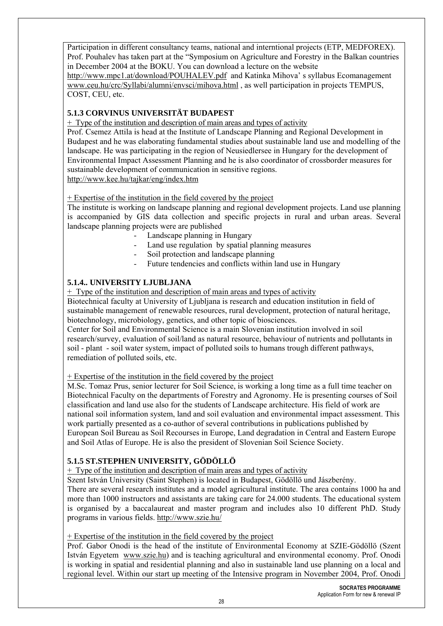Participation in different consultancy teams, national and interntional projects (ETP, MEDFOREX). Prof. Pouhalev has taken part at the "Symposium on Agriculture and Forestry in the Balkan countries in December 2004 at the BOKU. You can download a lecture on the website

http://www.mpc1.at/download/POUHALEV.pdf and Katinka Mihova' s syllabus Ecomanagement www.ceu.hu/crc/Syllabi/alumni/envsci/mihova.html , as well participation in projects TEMPUS, COST, CEU, etc.

## **5.1.3 CORVINUS UNIVERSITÄT BUDAPEST**

+ Type of the institution and description of main areas and types of activity

Prof. Csemez Attila is head at the Institute of Landscape Planning and Regional Development in Budapest and he was elaborating fundamental studies about sustainable land use and modelling of the landscape. He was participating in the region of Neusiedlersee in Hungary for the development of Environmental Impact Assessment Planning and he is also coordinator of crossborder measures for sustainable development of communication in sensitive regions. http://www.kee.hu/tajkar/eng/index.htm

+ Expertise of the institution in the field covered by the project

The institute is working on landscape planning and regional development projects. Land use planning is accompanied by GIS data collection and specific projects in rural and urban areas. Several landscape planning projects were are published

- Landscape planning in Hungary
- Land use regulation by spatial planning measures
- Soil protection and landscape planning
- Future tendencies and conflicts within land use in Hungary

### **5.1.4.. UNIVERSITY LJUBLJANA**

+ Type of the institution and description of main areas and types of activity

Biotechnical faculty at University of Ljubljana is research and education institution in field of sustainable management of renewable resources, rural development, protection of natural heritage, biotechnology, microbiology, genetics, and other topic of biosciences.

Center for Soil and Environmental Science is a main Slovenian institution involved in soil research/survey, evaluation of soil/land as natural resource, behaviour of nutrients and pollutants in soil - plant - soil water system, impact of polluted soils to humans trough different pathways, remediation of polluted soils, etc.

#### + Expertise of the institution in the field covered by the project

M.Sc. Tomaz Prus, senior lecturer for Soil Science, is working a long time as a full time teacher on Biotechnical Faculty on the departments of Forestry and Agronomy. He is presenting courses of Soil classification and land use also for the students of Landscape architecture. His field of work are national soil information system, land and soil evaluation and environmental impact assessment. This work partially presented as a co-author of several contributions in publications published by European Soil Bureau as Soil Recourses in Europe, Land degradation in Central and Eastern Europe and Soil Atlas of Europe. He is also the president of Slovenian Soil Science Society.

#### **5.1.5 ST.STEPHEN UNIVERSITY, GÖDÖLLÖ**

+ Type of the institution and description of main areas and types of activity

Szent István University (Saint Stephen) is located in Budapest, Gödöllö und Jászberény.

There are several research institutes and a model agricultural institute. The area contains 1000 ha and more than 1000 instructors and assistants are taking care for 24.000 students. The educational system is organised by a baccalaureat and master program and includes also 10 different PhD. Study programs in various fields. http://www.szie.hu/

+ Expertise of the institution in the field covered by the project

Prof. Gabor Onodi is the head of the institute of Environmental Economy at SZIE-Gödöllö (Szent István Egyetem www.szie.hu) and is teaching agricultural and environmental economy. Prof. Onodi is working in spatial and residential planning and also in sustainable land use planning on a local and regional level. Within our start up meeting of the Intensive program in November 2004, Prof. Onodi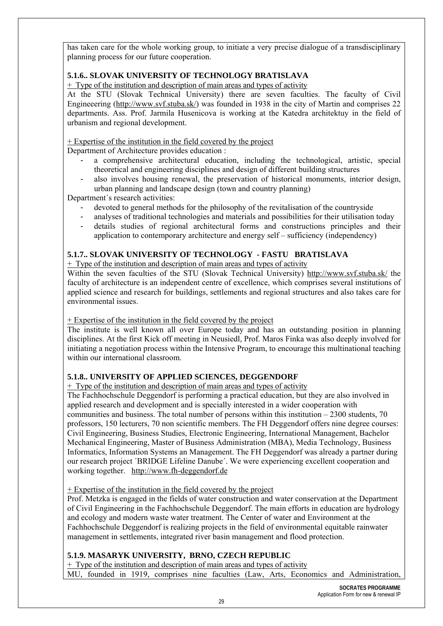has taken care for the whole working group, to initiate a very precise dialogue of a transdisciplinary planning process for our future cooperation.

#### **5.1.6.. SLOVAK UNIVERSITY OF TECHNOLOGY BRATISLAVA**

+ Type of the institution and description of main areas and types of activity

At the STU (Slovak Technical University) there are seven faculties. The faculty of Civil Engineeering (http://www.svf.stuba.sk/) was founded in 1938 in the city of Martin and comprises 22 departments. Ass. Prof. Jarmila Husenicova is working at the Katedra architektuy in the field of urbanism and regional development.

+ Expertise of the institution in the field covered by the project

Department of Architecture provides education :

- a comprehensive architectural education, including the technological, artistic, special theoretical and engineering disciplines and design of different building structures
- also involves housing renewal, the preservation of historical monuments, interior design, urban planning and landscape design (town and country planning)

Department´s research activities:

- devoted to general methods for the philosophy of the revitalisation of the countryside
- analyses of traditional technologies and materials and possibilities for their utilisation today
- details studies of regional architectural forms and constructions principles and their application to contemporary architecture and energy self – sufficiency (independency)

#### **5.1.7.. SLOVAK UNIVERSITY OF TECHNOLOGY - FASTU BRATISLAVA**

+ Type of the institution and description of main areas and types of activity

Within the seven faculties of the STU (Slovak Technical University) http://www.svf.stuba.sk/ the faculty of architecture is an independent centre of excellence, which comprises several institutions of applied science and research for buildings, settlements and regional structures and also takes care for environmental issues.

#### + Expertise of the institution in the field covered by the project

The institute is well known all over Europe today and has an outstanding position in planning disciplines. At the first Kick off meeting in Neusiedl, Prof. Maros Finka was also deeply involved for initiating a negotiation process within the Intensive Program, to encourage this multinational teaching within our international classroom.

#### **5.1.8.. UNIVERSITY OF APPLIED SCIENCES, DEGGENDORF**

#### + Type of the institution and description of main areas and types of activity

The Fachhochschule Deggendorf is performing a practical education, but they are also involved in applied research and development and is specially interested in a wider cooperation with communities and business. The total number of persons within this institution – 2300 students, 70 professors, 150 lecturers, 70 non scientific members. The FH Deggendorf offers nine degree courses: Civil Engineering, Business Studies, Electronic Engineering, International Management, Bachelor Mechanical Engineering, Master of Business Administration (MBA), Media Technology, Business Informatics, Information Systems an Management. The FH Deggendorf was already a partner during our research project ´BRIDGE Lifeline Danube´. We were experiencing excellent cooperation and working together. http://www.fh-deggendorf.de

+ Expertise of the institution in the field covered by the project

Prof. Metzka is engaged in the fields of water construction and water conservation at the Department of Civil Engineering in the Fachhochschule Deggendorf. The main efforts in education are hydrology and ecology and modern waste water treatment. The Center of water and Environment at the Fachhochschule Deggendorf is realizing projects in the field of environmental equitable rainwater management in settlements, integrated river basin management and flood protection.

#### **5.1.9. MASARYK UNIVERSITY, BRNO, CZECH REPUBLIC**

+ Type of the institution and description of main areas and types of activity

MU, founded in 1919, comprises nine faculties (Law, Arts, Economics and Administration,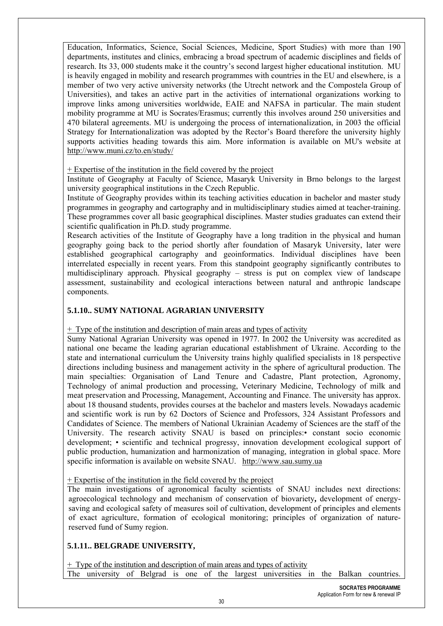Education, Informatics, Science, Social Sciences, Medicine, Sport Studies) with more than 190 departments, institutes and clinics, embracing a broad spectrum of academic disciplines and fields of research. Its 33, 000 students make it the country's second largest higher educational institution. MU is heavily engaged in mobility and research programmes with countries in the EU and elsewhere, is a member of two very active university networks (the Utrecht network and the Compostela Group of Universities), and takes an active part in the activities of international organizations working to improve links among universities worldwide, EAIE and NAFSA in particular. The main student mobility programme at MU is Socrates/Erasmus; currently this involves around 250 universities and 470 bilateral agreements. MU is undergoing the process of internationalization, in 2003 the official Strategy for Internationalization was adopted by the Rector's Board therefore the university highly supports activities heading towards this aim. More information is available on MU's website at http://www.muni.cz/to.en/study/

#### $+$  Expertise of the institution in the field covered by the project

Institute of Geography at Faculty of Science, Masaryk University in Brno belongs to the largest university geographical institutions in the Czech Republic.

Institute of Geography provides within its teaching activities education in bachelor and master study programmes in geography and cartography and in multidisciplinary studies aimed at teacher-training. These programmes cover all basic geographical disciplines. Master studies graduates can extend their scientific qualification in Ph.D. study programme.

Research activities of the Institute of Geography have a long tradition in the physical and human geography going back to the period shortly after foundation of Masaryk University, later were established geographical cartography and geoinformatics. Individual disciplines have been interrelated especially in recent years. From this standpoint geography significantly contributes to multidisciplinary approach. Physical geography – stress is put on complex view of landscape assessment, sustainability and ecological interactions between natural and anthropic landscape components.

#### **5.1.10.. SUMY NATIONAL AGRARIAN UNIVERSITY**

+ Type of the institution and description of main areas and types of activity

Sumy National Agrarian University was opened in 1977. In 2002 the University was accredited as national one became the leading agrarian educational establishment of Ukraine. According to the state and international curriculum the University trains highly qualified specialists in 18 perspective directions including business and management activity in the sphere of agricultural production. The main specialties: Organisation of Land Tenure and Cadastre, Plant protection, Agronomy, Technology of animal production and processing, Veterinary Medicine, Technology of milk and meat preservation and Processing, Management, Accounting and Finance. The university has approx. about 18 thousand students, provides courses at the bachelor and masters levels. Nowadays academic and scientific work is run by 62 Doctors of Science and Professors, 324 Assistant Professors and Candidates of Science. The members of National Ukrainian Academy of Sciences are the staff of the University. The research activity SNAU is based on principles:• constant socio economic development; • scientific and technical progressу, innovation development ecological support of public production, humanization and harmonization of managing, integration in global space. More specific information is available on website SNAU. http://www.sau.sumy.ua

+ Expertise of the institution in the field covered by the project

The main investigations of agronomical faculty scientists of SNAU includes next directions: agroecological technology and mechanism of conservation of biovariety**,** development of energysaving and ecological safety of measures soil of cultivation, development of principles and elements of exact agriculture, formation of ecological monitoring; principles of organization of naturereserved fund of Sumy region.

#### **5.1.11.. BELGRADE UNIVERSITY,**

 $+$  Type of the institution and description of main areas and types of activity The university of Belgrad is one of the largest universities in the Balkan countries.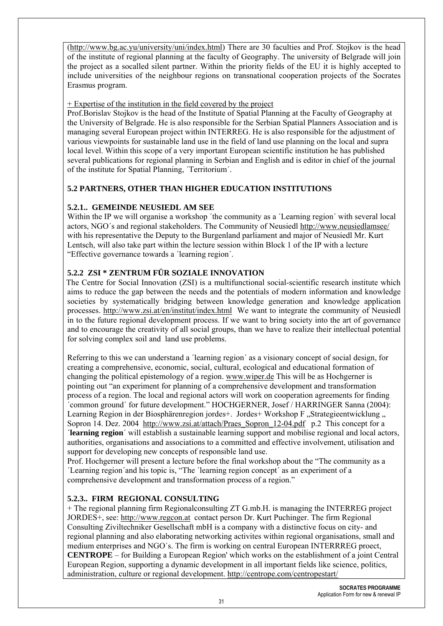(http://www.bg.ac.yu/university/uni/index.html) There are 30 faculties and Prof. Stojkov is the head of the institute of regional planning at the faculty of Geography. The university of Belgrade will join the project as a socalled silent partner. Within the priority fields of the EU it is highly accepted to include universities of the neighbour regions on transnational cooperation projects of the Socrates Erasmus program.

#### + Expertise of the institution in the field covered by the project

Prof.Borislav Stojkov is the head of the Institute of Spatial Planning at the Faculty of Geography at the University of Belgrade. He is also responsible for the Serbian Spatial Planners Association and is managing several European project within INTERREG. He is also responsible for the adjustment of various viewpoints for sustainable land use in the field of land use planning on the local and supra local level. Within this scope of a very important European scientific institution he has published several publications for regional planning in Serbian and English and is editor in chief of the journal of the institute for Spatial Planning, ´Territorium´.

#### **5.2 PARTNERS, OTHER THAN HIGHER EDUCATION INSTITUTIONS**

#### **5.2.1.. GEMEINDE NEUSIEDL AM SEE**

Within the IP we will organise a workshop 'the community as a 'Learning region' with several local actors, NGO´s and regional stakeholders. The Community of Neusiedl http://www.neusiedlamsee/ with his representative the Deputy to the Burgenland parliament and major of Neusiedl Mr. Kurt Lentsch, will also take part within the lecture session within Block 1 of the IP with a lecture "Effective governance towards a ´learning region´.

#### **5.2.2 ZSI \* ZENTRUM FÜR SOZIALE INNOVATION**

The Centre for Social Innovation (ZSI) is a multifunctional social-scientific research institute which aims to reduce the gap between the needs and the potentials of modern information and knowledge societies by systematically bridging between knowledge generation and knowledge application processes. http://www.zsi.at/en/institut/index.html We want to integrate the community of Neusiedl in to the future regional development process. If we want to bring society into the art of governance and to encourage the creativity of all social groups, than we have to realize their intellectual potential for solving complex soil and land use problems.

Referring to this we can understand a 'learning region' as a visionary concept of social design, for creating a comprehensive, economic, social, cultural, ecological and educational formation of changing the political epistemology of a region. www.wiper.de This will be as Hochgerner is pointing out "an experiment for planning of a comprehensive development and transformation process of a region. The local and regional actors will work on cooperation agreements for finding ´common ground´ for future development." HOCHGERNER, Josef / HARRINGER Sanna (2004): Learning Region in der Biosphärenregion jordes+. Jordes+ Workshop F "Strategieentwicklung " Sopron 14. Dez. 2004 http://www.zsi.at/attach/Praes\_Sopron\_12-04.pdf p.2 This concept for a ´**learning region**´ will establish a sustainable learning support and mobilise regional and local actors, authorities, organisations and associations to a committed and effective involvement, utilisation and support for developing new concepts of responsible land use.

Prof. Hochgerner will present a lecture before the final workshop about the "The community as a ´Learning region´and his topic is, "The ´learning region concept´ as an experiment of a comprehensive development and transformation process of a region."

#### **5.2.3.. FIRM REGIONAL CONSULTING**

+ The regional planning firm Regionalconsulting ZT G.mb.H. is managing the INTERREG project JORDES+, see: http://www.regcon.at contact person Dr. Kurt Puchinger. The firm Regional Consulting Ziviltechniker Gesellschaft mbH is a company with a distinctive focus on city- and regional planning and also elaborating networking activites within regional organisations, small and medium enterprises and NGO´s. The firm is working on central European INTERRREG proect, **CENTROPE** – for Building a European Region' which works on the establishment of a joint Central European Region, supporting a dynamic development in all important fields like science, politics, administration, culture or regional development. http://centrope.com/centropestart/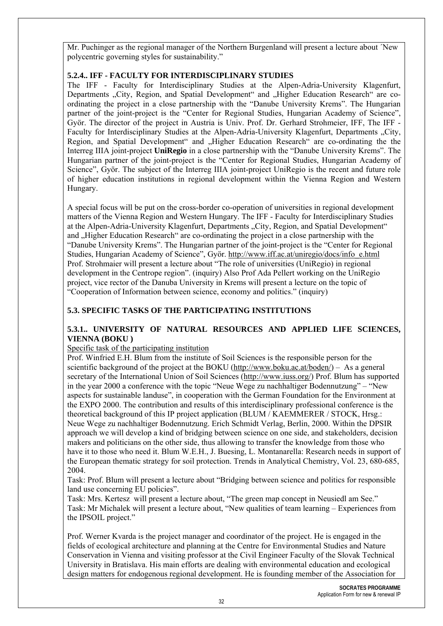Mr. Puchinger as the regional manager of the Northern Burgenland will present a lecture about ´New polycentric governing styles for sustainability."

#### **5.2.4.. IFF - FACULTY FOR INTERDISCIPLINARY STUDIES**

The IFF - Faculty for Interdisciplinary Studies at the Alpen-Adria-University Klagenfurt, Departments ...City, Region, and Spatial Development" and ...Higher Education Research are coordinating the project in a close partnership with the "Danube University Krems". The Hungarian partner of the joint-project is the "Center for Regional Studies, Hungarian Academy of Science", Györ. The director of the project in Austria is Univ. Prof. Dr. Gerhard Strohmeier, IFF, The IFF - Faculty for Interdisciplinary Studies at the Alpen-Adria-University Klagenfurt, Departments "City, Region, and Spatial Development" and "Higher Education Research" are co-ordinating the the Interreg IIIA joint-project **UniRegio** in a close partnership with the "Danube University Krems". The Hungarian partner of the joint-project is the "Center for Regional Studies, Hungarian Academy of Science", Györ. The subject of the Interreg IIIA joint-project UniRegio is the recent and future role of higher education institutions in regional development within the Vienna Region and Western Hungary.

A special focus will be put on the cross-border co-operation of universities in regional development matters of the Vienna Region and Western Hungary. The IFF - Faculty for Interdisciplinary Studies at the Alpen-Adria-University Klagenfurt, Departments "City, Region, and Spatial Development" and "Higher Education Research" are co-ordinating the project in a close partnership with the "Danube University Krems". The Hungarian partner of the joint-project is the "Center for Regional Studies, Hungarian Academy of Science", Györ. http://www.iff.ac.at/uniregio/docs/info\_e.html Prof. Strohmaier will present a lecture about "The role of universities (UniRegio) in regional development in the Centrope region". (inquiry) Also Prof Ada Pellert working on the UniRegio project, vice rector of the Danuba University in Krems will present a lecture on the topic of "Cooperation of Information between science, economy and politics." (inquiry)

#### **5.3. SPECIFIC TASKS OF THE PARTICIPATING INSTITUTIONS**

#### **5.3.1.. UNIVERSITY OF NATURAL RESOURCES AND APPLIED LIFE SCIENCES, VIENNA (BOKU )**

#### Specific task of the participating institution

Prof. Winfried E.H. Blum from the institute of Soil Sciences is the responsible person for the scientific background of the project at the BOKU (http://www.boku.ac.at/boden/) – As a general secretary of the International Union of Soil Sciences (http://www.iuss.org/) Prof. Blum has supported in the year 2000 a conference with the topic "Neue Wege zu nachhaltiger Bodennutzung" – "New aspects for sustainable landuse", in cooperation with the German Foundation for the Environment at the EXPO 2000. The contribution and results of this interdisciplinary professional conference is the theoretical background of this IP project application (BLUM / KAEMMERER / STOCK, Hrsg.: Neue Wege zu nachhaltiger Bodennutzung. Erich Schmidt Verlag, Berlin, 2000. Within the DPSIR approach we will develop a kind of bridging between science on one side, and stakeholders, decision makers and politicians on the other side, thus allowing to transfer the knowledge from those who have it to those who need it. Blum W.E.H., J. Buesing, L. Montanarella: Research needs in support of the European thematic strategy for soil protection. Trends in Analytical Chemistry, Vol. 23, 680-685, 2004.

Task: Prof. Blum will present a lecture about "Bridging between science and politics for responsible land use concerning EU policies".

Task: Mrs. Kertesz will present a lecture about, "The green map concept in Neusiedl am See." Task: Mr Michalek will present a lecture about, "New qualities of team learning – Experiences from the IPSOIL project."

Prof. Werner Kvarda is the project manager and coordinator of the project. He is engaged in the fields of ecological architecture and planning at the Centre for Environmental Studies and Nature Conservation in Vienna and visiting professor at the Civil Engineer Faculty of the Slovak Technical University in Bratislava. His main efforts are dealing with environmental education and ecological design matters for endogenous regional development. He is founding member of the Association for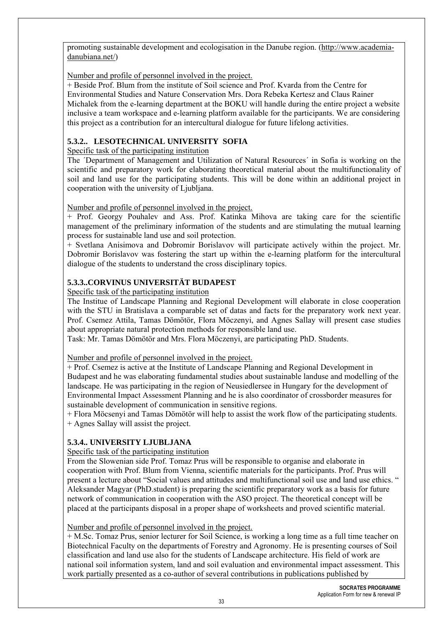promoting sustainable development and ecologisation in the Danube region. (http://www.academiadanubiana.net/)

Number and profile of personnel involved in the project.

+ Beside Prof. Blum from the institute of Soil science and Prof. Kvarda from the Centre for Environmental Studies and Nature Conservation Mrs. Dora Rebeka Kertesz and Claus Rainer Michalek from the e-learning department at the BOKU will handle during the entire project a website inclusive a team workspace and e-learning platform available for the participants. We are considering this project as a contribution for an intercultural dialogue for future lifelong activities.

## **5.3.2.. LESOTECHNICAL UNIVERSITY SOFIA**

Specific task of the participating institution

The ´Department of Management and Utilization of Natural Resources´ in Sofia is working on the scientific and preparatory work for elaborating theoretical material about the multifunctionality of soil and land use for the participating students. This will be done within an additional project in cooperation with the university of Ljubljana.

Number and profile of personnel involved in the project.

+ Prof. Georgy Pouhalev and Ass. Prof. Katinka Mihova are taking care for the scientific management of the preliminary information of the students and are stimulating the mutual learning process for sustainable land use and soil protection.

+ Svetlana Anisimova and Dobromir Borislavov will participate actively within the project. Mr. Dobromir Borislavov was fostering the start up within the e-learning platform for the intercultural dialogue of the students to understand the cross disciplinary topics.

## **5.3.3..CORVINUS UNIVERSITÄT BUDAPEST**

Specific task of the participating institution

The Institue of Landscape Planning and Regional Development will elaborate in close cooperation with the STU in Bratislava a comparable set of datas and facts for the preparatory work next year. Prof. Csemez Attila, Tamas Dömötör, Flora Möczenyi, and Agnes Sallay will present case studies about appropriate natural protection methods for responsible land use.

Task: Mr. Tamas Dömötör and Mrs. Flora Möczenyi, are participating PhD. Students.

Number and profile of personnel involved in the project.

+ Prof. Csemez is active at the Institute of Landscape Planning and Regional Development in Budapest and he was elaborating fundamental studies about sustainable landuse and modelling of the landscape. He was participating in the region of Neusiedlersee in Hungary for the development of Environmental Impact Assessment Planning and he is also coordinator of crossborder measures for sustainable development of communication in sensitive regions.

+ Flora Möcsenyi and Tamas Dömötör will help to assist the work flow of the participating students. + Agnes Sallay will assist the project.

# **5.3.4.. UNIVERSITY LJUBLJANA**

Specific task of the participating institution

From the Slowenian side Prof. Tomaz Prus will be responsible to organise and elaborate in cooperation with Prof. Blum from Vienna, scientific materials for the participants. Prof. Prus will present a lecture about "Social values and attitudes and multifunctional soil use and land use ethics. " Aleksander Magyar (PhD.student) is preparing the scientific preparatory work as a basis for future network of communication in cooperation with the ASO project. The theoretical concept will be placed at the participants disposal in a proper shape of worksheets and proved scientific material.

## Number and profile of personnel involved in the project.

+ M.Sc. Tomaz Prus, senior lecturer for Soil Science, is working a long time as a full time teacher on Biotechnical Faculty on the departments of Forestry and Agronomy. He is presenting courses of Soil classification and land use also for the students of Landscape architecture. His field of work are national soil information system, land and soil evaluation and environmental impact assessment. This work partially presented as a co-author of several contributions in publications published by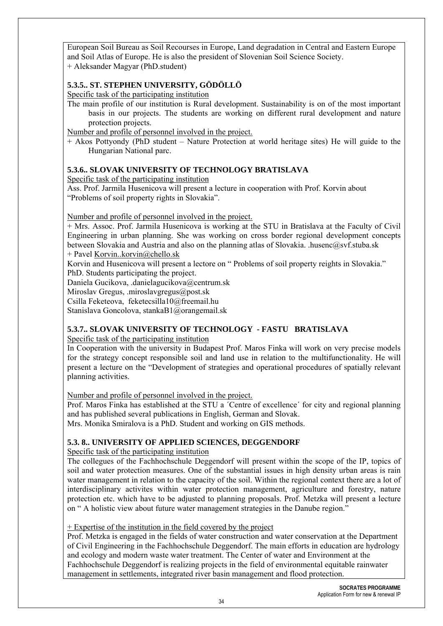European Soil Bureau as Soil Recourses in Europe, Land degradation in Central and Eastern Europe and Soil Atlas of Europe. He is also the president of Slovenian Soil Science Society. + Aleksander Magyar (PhD.student)

#### **5.3.5.. ST. STEPHEN UNIVERSITY, GÖDÖLLÖ**

Specific task of the participating institution

The main profile of our institution is Rural development. Sustainability is on of the most important basis in our projects. The students are working on different rural development and nature protection projects.

Number and profile of personnel involved in the project.

+ Akos Pottyondy (PhD student – Nature Protection at world heritage sites) He will guide to the Hungarian National parc.

#### **5.3.6.. SLOVAK UNIVERSITY OF TECHNOLOGY BRATISLAVA**

Specific task of the participating institution

Ass. Prof. Jarmila Husenicova will present a lecture in cooperation with Prof. Korvin about "Problems of soil property rights in Slovakia".

#### Number and profile of personnel involved in the project.

+ Mrs. Assoc. Prof. Jarmila Husenicova is working at the STU in Bratislava at the Faculty of Civil Engineering in urban planning. She was working on cross border regional development concepts between Slovakia and Austria and also on the planning atlas of Slovakia. .husenc@svf.stuba.sk

+ Pavel Korvin..korvin@chello.sk

Korvin and Husenicova will present a lectore on " Problems of soil property reights in Slovakia."

PhD. Students participating the project.

Daniela Gucikova, .danielagucikova@centrum.sk

Miroslav Gregus, .miroslavgregus@post.sk

Csilla Feketeova, feketecsilla10@freemail.hu

Stanislava Goncolova, stankaB1@orangemail.sk

#### **5.3.7.. SLOVAK UNIVERSITY OF TECHNOLOGY - FASTU BRATISLAVA**

Specific task of the participating institution

In Cooperation with the university in Budapest Prof. Maros Finka will work on very precise models for the strategy concept responsible soil and land use in relation to the multifunctionality. He will present a lecture on the "Development of strategies and operational procedures of spatially relevant planning activities.

Number and profile of personnel involved in the project.

Prof. Maros Finka has established at the STU a ´Centre of excellence´ for city and regional planning and has published several publications in English, German and Slovak.

Mrs. Monika Smiralova is a PhD. Student and working on GIS methods.

#### **5.3. 8.. UNIVERSITY OF APPLIED SCIENCES, DEGGENDORF**

Specific task of the participating institution

The collegues of the Fachhochschule Deggendorf will present within the scope of the IP, topics of soil and water protection measures. One of the substantial issues in high density urban areas is rain water management in relation to the capacity of the soil. Within the regional context there are a lot of interdisciplinary activites within water protection management, agriculture and forestry, nature protection etc. which have to be adjusted to planning proposals. Prof. Metzka will present a lecture on " A holistic view about future water management strategies in the Danube region."

+ Expertise of the institution in the field covered by the project

Prof. Metzka is engaged in the fields of water construction and water conservation at the Department of Civil Engineering in the Fachhochschule Deggendorf. The main efforts in education are hydrology and ecology and modern waste water treatment. The Center of water and Environment at the Fachhochschule Deggendorf is realizing projects in the field of environmental equitable rainwater management in settlements, integrated river basin management and flood protection.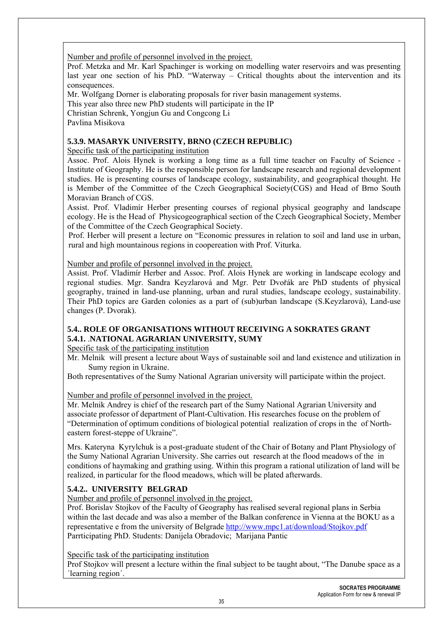Number and profile of personnel involved in the project.

Prof. Metzka and Mr. Karl Spachinger is working on modelling water reservoirs and was presenting last year one section of his PhD. "Waterway – Critical thoughts about the intervention and its consequences.

Mr. Wolfgang Dorner is elaborating proposals for river basin management systems.

This year also three new PhD students will participate in the IP

Christian Schrenk, Yongjun Gu and Congcong Li

Pavlina Misikova

#### **5.3.9. MASARYK UNIVERSITY, BRNO (CZECH REPUBLIC)**

Specific task of the participating institution

Assoc. Prof. Alois Hynek is working a long time as a full time teacher on Faculty of Science - Institute of Geography. He is the responsible person for landscape research and regional development studies. He is presenting courses of landscape ecology, sustainability, and geographical thought. He is Member of the Committee of the Czech Geographical Society(CGS) and Head of Brno South Moravian Branch of CGS.

Assist. Prof. Vladimír Herber presenting courses of regional physical geography and landscape ecology. He is the Head of Physicogeographical section of the Czech Geographical Society, Member of the Committee of the Czech Geographical Society.

Prof. Herber will present a lecture on "Economic pressures in relation to soil and land use in urban, rural and high mountainous regions in coopereation with Prof. Viturka.

#### Number and profile of personnel involved in the project.

Assist. Prof. Vladimír Herber and Assoc. Prof. Alois Hynek are working in landscape ecology and regional studies. Mgr. Sandra Keyzlarová and Mgr. Petr Dvořák are PhD students of physical geography, trained in land-use planning, urban and rural studies, landscape ecology, sustainability. Their PhD topics are Garden colonies as a part of (sub)urban landscape (S.Keyzlarová), Land-use changes (P. Dvorak).

#### **5.4.. ROLE OF ORGANISATIONS WITHOUT RECEIVING A SOKRATES GRANT 5.4.1.** .**NATIONAL AGRARIAN UNIVERSITY, SUMY**

Specific task of the participating institution

Mr. Melnik will present a lecture about Ways of sustainable soil and land existence and utilization in Sumy region in Ukraine.

Both representatives of the Sumy National Agrarian university will participate within the project.

Number and profile of personnel involved in the project.

Mr. Melnik Andrey is chief of the research part of the Sumy National Agrarian University and associate professor of department of Plant-Cultivation. His researches focuse on the problem of "Determination of optimum conditions of biological potential realization of crops in the of Northeastern forest-steppe of Ukraine".

Mrs. Kateryna Kyrylchuk is a post-graduate student of the Chair of Botany and Plant Physiology of the Sumy National Agrarian University. She carries out research at the flood meadows of the in conditions of haymaking and grathing using. Within this program a rational utilization of land will be realized, in particular for the flood meadows, which will be plated afterwards.

## **5.4.2.. UNIVERSITY BELGRAD**

Number and profile of personnel involved in the project.

Prof. Borislav Stojkov of the Faculty of Geography has realised several regional plans in Serbia within the last decade and was also a member of the Balkan conference in Vienna at the BOKU as a representative e from the university of Belgrade http://www.mpc1.at/download/Stojkov.pdf Parrticipating PhD. Students: Danijela Obradovic; Marijana Pantic

#### Specific task of the participating institution

Prof Stojkov will present a lecture within the final subject to be taught about, "The Danube space as a ´learning region´.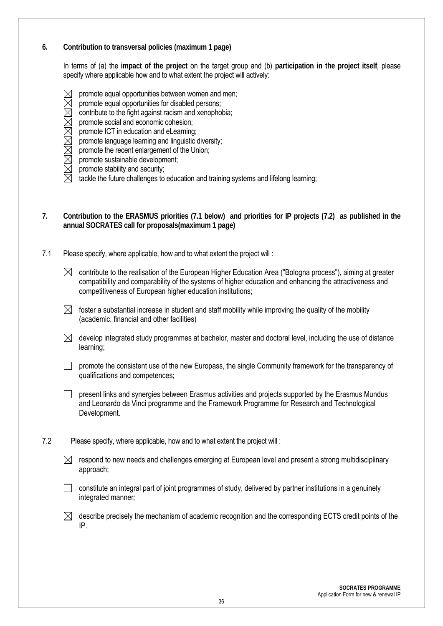#### **6. Contribution to transversal policies (maximum 1 page)**

In terms of (a) the **impact of the project** on the target group and (b) **participation in the project itself**, please specify where applicable how and to what extent the project will actively:

- $\boxtimes$  promote equal opportunities between women and men;<br> $\boxtimes$  promote equal opportunities for disabled persons:
- $\boxtimes$  promote equal opportunities for disabled persons;<br> $\boxtimes$  contribute to the fight against racism and xenopho
- contribute to the fight against racism and xenophobia;
- promote social and economic cohesion;
- promote ICT in education and eLearning;
- $\boxtimes$  promote language learning and linguistic diversity;<br>  $\boxtimes$  promote the recent enlargement of the Union;<br>  $\boxtimes$  promote sustainable development;
- promote the recent enlargement of the Union;
- $\boxtimes$  promote sustainable development;<br> $\boxtimes$  promote stability and security;
- promote stability and security;
- $\boxtimes$  tackle the future challenges to education and training systems and lifelong learning;
- **7. Contribution to the ERASMUS priorities (7.1 below) and priorities for IP projects (7.2) as published in the annual SOCRATES call for proposals(maximum 1 page)**
- 7.1 Please specify, where applicable, how and to what extent the project will :
	- $\boxtimes$  contribute to the realisation of the European Higher Education Area ("Bologna process"), aiming at greater compatibility and comparability of the systems of higher education and enhancing the attractiveness and competitiveness of European higher education institutions;
	- $\boxtimes$  foster a substantial increase in student and staff mobility while improving the quality of the mobility (academic, financial and other facilities)
	- $\boxtimes$  develop integrated study programmes at bachelor, master and doctoral level, including the use of distance learning;
	- $\Box$  promote the consistent use of the new Europass, the single Community framework for the transparency of qualifications and competences;

 $\Box$  present links and synergies between Erasmus activities and projects supported by the Erasmus Mundus and Leonardo da Vinci programme and the Framework Programme for Research and Technological Development.

- 7.2 Please specify, where applicable, how and to what extent the project will :
	- $\boxtimes$  respond to new needs and challenges emerging at European level and present a strong multidisciplinary approach;
	- $\Box$  constitute an integral part of joint programmes of study, delivered by partner institutions in a genuinely integrated manner*;*

 $\boxtimes$  describe precisely the mechanism of academic recognition and the corresponding ECTS credit points of the IP.